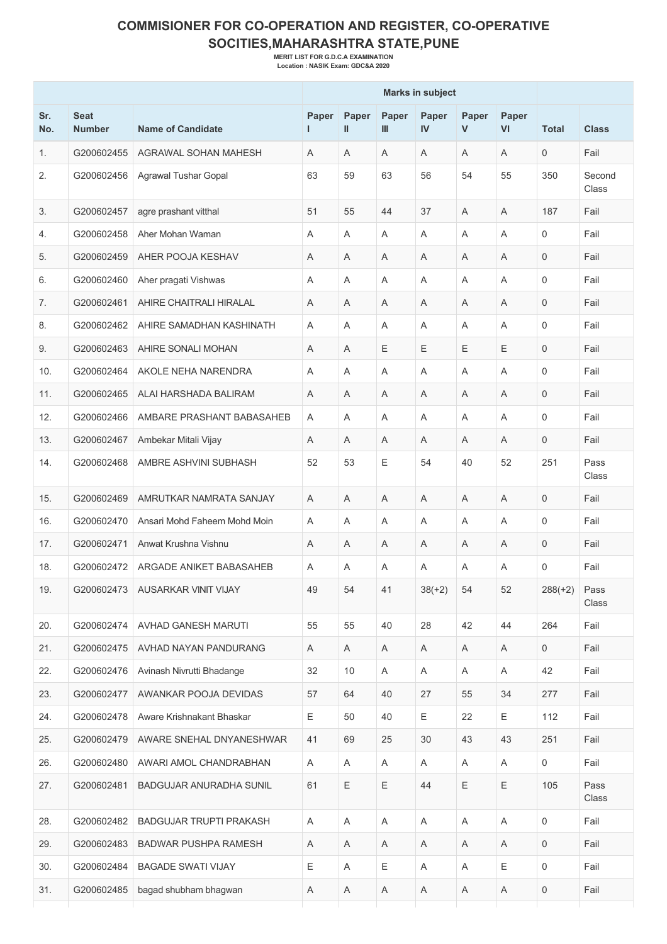## **COMMISIONER FOR CO-OPERATION AND REGISTER, CO-OPERATIVE SOCITIES,MAHARASHTRA STATE,PUNE**

**MERIT LIST FOR G.D.C.A EXAMINATION Location : NASIK Exam: GDC&A 2020**

|            |                              |                              | <b>Marks in subject</b> |            |             |             |            |             |                     |                 |
|------------|------------------------------|------------------------------|-------------------------|------------|-------------|-------------|------------|-------------|---------------------|-----------------|
| Sr.<br>No. | <b>Seat</b><br><b>Number</b> | <b>Name of Candidate</b>     | Paper<br>н.             | Paper<br>Ш | Paper<br>Ш  | Paper<br>IV | Paper<br>V | Paper<br>VI | <b>Total</b>        | <b>Class</b>    |
| 1.         | G200602455                   | AGRAWAL SOHAN MAHESH         | A                       | A          | Α           | Α           | Α          | Α           | $\mathbf 0$         | Fail            |
| 2.         | G200602456                   | Agrawal Tushar Gopal         | 63                      | 59         | 63          | 56          | 54         | 55          | 350                 | Second<br>Class |
| 3.         | G200602457                   | agre prashant vitthal        | 51                      | 55         | 44          | 37          | A          | A           | 187                 | Fail            |
| 4.         | G200602458                   | Aher Mohan Waman             | A                       | A          | A           | A           | A          | A           | 0                   | Fail            |
| 5.         | G200602459                   | AHER POOJA KESHAV            | A                       | A          | A           | Α           | A          | A           | $\mathbf 0$         | Fail            |
| 6.         | G200602460                   | Aher pragati Vishwas         | A                       | A          | A           | A           | A          | A           | $\Omega$            | Fail            |
| 7.         | G200602461                   | AHIRE CHAITRALI HIRALAL      | A                       | A          | Α           | A           | Α          | A           | $\Omega$            | Fail            |
| 8.         | G200602462                   | AHIRE SAMADHAN KASHINATH     | Α                       | A          | A           | A           | A          | Α           | $\Omega$            | Fail            |
| 9.         | G200602463                   | AHIRE SONALI MOHAN           | A                       | A          | Ε           | Ε           | E          | Ε           | $\Omega$            | Fail            |
| 10.        | G200602464                   | AKOLE NEHA NARENDRA          | A                       | A          | Α           | Α           | A          | Α           | $\Omega$            | Fail            |
| 11.        | G200602465                   | ALAI HARSHADA BALIRAM        | A                       | A          | A           | A           | A          | A           | $\mathbf 0$         | Fail            |
| 12.        | G200602466                   | AMBARE PRASHANT BABASAHEB    | A                       | A          | A           | A           | A          | A           | $\mathbf{0}$        | Fail            |
| 13.        | G200602467                   | Ambekar Mitali Vijay         | Α                       | A          | Α           | Α           | A          | A           | $\mathbf 0$         | Fail            |
| 14.        | G200602468                   | AMBRE ASHVINI SUBHASH        | 52                      | 53         | E           | 54          | 40         | 52          | 251                 | Pass<br>Class   |
| 15.        | G200602469                   | AMRUTKAR NAMRATA SANJAY      | A                       | A          | A           | A           | A          | A           | $\mathbf 0$         | Fail            |
| 16.        | G200602470                   | Ansari Mohd Faheem Mohd Moin | Α                       | A          | A           | A           | A          | A           | $\Omega$            | Fail            |
| 17.        | G200602471                   | Anwat Krushna Vishnu         | Α                       | A          | A           | Α           | A          | A           | $\mathbf 0$         | Fail            |
| 18.        | G200602472                   | ARGADE ANIKET BABASAHEB      | Α                       | A          | Α           | Α           | Α          | Α           | $\mathbf 0$         | Fail            |
| 19.        | G200602473                   | AUSARKAR VINIT VIJAY         | 49                      | 54         | 41          | $38(+2)$    | 54         | 52          | $288(+2)$           | Pass<br>Class   |
| 20.        | G200602474                   | AVHAD GANESH MARUTI          | 55                      | 55         | 40          | 28          | 42         | 44          | 264                 | Fail            |
| 21.        | G200602475                   | AVHAD NAYAN PANDURANG        | A                       | Α          | A           | Α           | A          | Α           | $\mathbf 0$         | Fail            |
| 22.        | G200602476                   | Avinash Nivrutti Bhadange    | 32                      | 10         | Α           | A           | A          | A           | 42                  | Fail            |
| 23.        | G200602477                   | AWANKAR POOJA DEVIDAS        | 57                      | 64         | 40          | 27          | 55         | 34          | 277                 | Fail            |
| 24.        | G200602478                   | Aware Krishnakant Bhaskar    | Ε                       | 50         | 40          | Ε           | 22         | Ε           | 112                 | Fail            |
| 25.        | G200602479                   | AWARE SNEHAL DNYANESHWAR     | 41                      | 69         | 25          | 30          | 43         | 43          | 251                 | Fail            |
| 26.        | G200602480                   | AWARI AMOL CHANDRABHAN       | A                       | A          | Α           | A           | Α          | Α           | 0                   | Fail            |
| 27.        | G200602481                   | BADGUJAR ANURADHA SUNIL      | 61                      | E          | E           | 44          | E          | Ε           | 105                 | Pass<br>Class   |
| 28.        | G200602482                   | BADGUJAR TRUPTI PRAKASH      | A                       | A          | A           | A           | A          | A           | $\mathbf 0$         | Fail            |
| 29.        | G200602483                   | <b>BADWAR PUSHPA RAMESH</b>  | Α                       | A          | Α           | Α           | Α          | Α           | $\mathbf 0$         | Fail            |
| 30.        | G200602484                   | <b>BAGADE SWATI VIJAY</b>    | Ε                       | A          | $\mathsf E$ | A           | A          | E           | $\mathsf{O}\xspace$ | Fail            |
| 31.        | G200602485                   | bagad shubham bhagwan        | Α                       | Α          | A           | Α           | A          | Α           | 0                   | Fail            |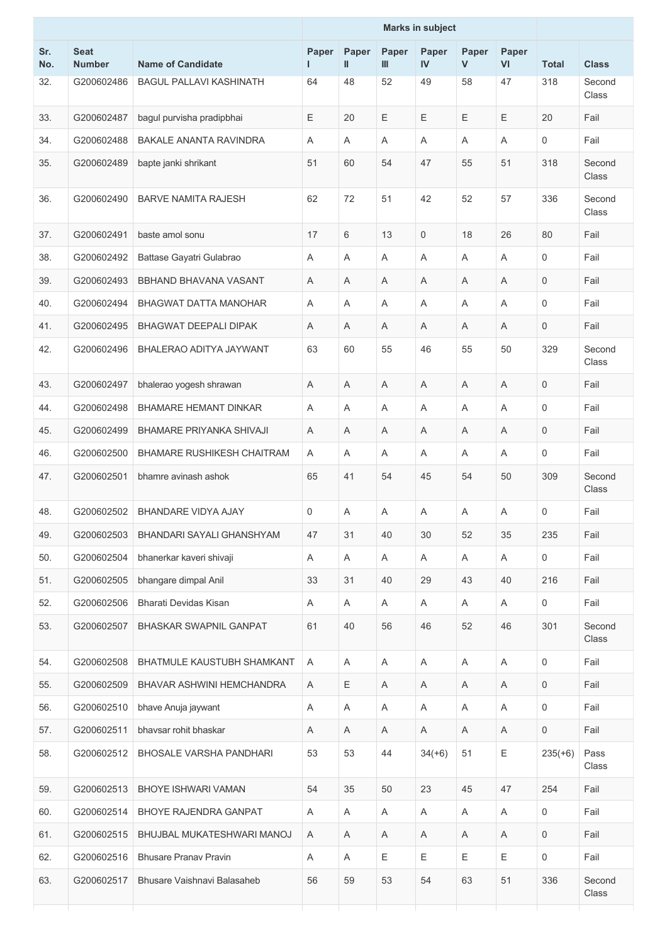|            |                              |                                   | <b>Marks in subject</b> |                           |            |                    |                       |             |                     |                 |
|------------|------------------------------|-----------------------------------|-------------------------|---------------------------|------------|--------------------|-----------------------|-------------|---------------------|-----------------|
| Sr.<br>No. | <b>Seat</b><br><b>Number</b> | <b>Name of Candidate</b>          | Paper<br>L.             | Paper<br>$\mathbf{I}$     | Paper<br>Ш | Paper<br><b>IV</b> | Paper<br>$\mathsf{V}$ | Paper<br>VI | <b>Total</b>        | <b>Class</b>    |
| 32.        | G200602486                   | <b>BAGUL PALLAVI KASHINATH</b>    | 64                      | 48                        | 52         | 49                 | 58                    | 47          | 318                 | Second<br>Class |
| 33.        | G200602487                   | bagul purvisha pradipbhai         | Ε                       | 20                        | Ε          | Ε                  | Ε                     | Ε           | 20                  | Fail            |
| 34.        | G200602488                   | <b>BAKALE ANANTA RAVINDRA</b>     | A                       | A                         | A          | A                  | A                     | A           | $\Omega$            | Fail            |
| 35.        | G200602489                   | bapte janki shrikant              | 51                      | 60                        | 54         | 47                 | 55                    | 51          | 318                 | Second<br>Class |
| 36.        | G200602490                   | <b>BARVE NAMITA RAJESH</b>        | 62                      | 72                        | 51         | 42                 | 52                    | 57          | 336                 | Second<br>Class |
| 37.        | G200602491                   | baste amol sonu                   | 17                      | 6                         | 13         | 0                  | 18                    | 26          | 80                  | Fail            |
| 38.        | G200602492                   | Battase Gayatri Gulabrao          | Α                       | A                         | A          | A                  | A                     | A           | $\mathbf 0$         | Fail            |
| 39.        | G200602493                   | BBHAND BHAVANA VASANT             | A                       | A                         | A          | A                  | A                     | A           | $\mathbf 0$         | Fail            |
| 40.        | G200602494                   | BHAGWAT DATTA MANOHAR             | Α                       | A                         | A          | A                  | A                     | A           | $\mathbf 0$         | Fail            |
| 41.        | G200602495                   | <b>BHAGWAT DEEPALI DIPAK</b>      | Α                       | A                         | Α          | A                  | A                     | A           | $\overline{0}$      | Fail            |
| 42.        | G200602496                   | BHALERAO ADITYA JAYWANT           | 63                      | 60                        | 55         | 46                 | 55                    | 50          | 329                 | Second<br>Class |
| 43.        | G200602497                   | bhalerao yogesh shrawan           | Α                       | Α                         | Α          | A                  | Α                     | A           | $\mathbf 0$         | Fail            |
| 44.        | G200602498                   | <b>BHAMARE HEMANT DINKAR</b>      | A                       | A                         | A          | A                  | A                     | A           | 0                   | Fail            |
| 45.        | G200602499                   | <b>BHAMARE PRIYANKA SHIVAJI</b>   | Α                       | Α                         | Α          | A                  | Α                     | A           | $\mathbf 0$         | Fail            |
| 46.        | G200602500                   | BHAMARE RUSHIKESH CHAITRAM        | Α                       | A                         | Α          | A                  | Α                     | A           | $\mathbf 0$         | Fail            |
| 47.        | G200602501                   | bhamre avinash ashok              | 65                      | 41                        | 54         | 45                 | 54                    | 50          | 309                 | Second<br>Class |
| 48.        | G200602502                   | <b>BHANDARE VIDYA AJAY</b>        | 0                       | A                         | A          | A                  | A                     | A           | $\mathbf 0$         | Fail            |
| 49.        | G200602503                   | BHANDARI SAYALI GHANSHYAM         | 47                      | 31                        | 40         | 30                 | 52                    | 35          | 235                 | Fail            |
| 50.        | G200602504                   | bhanerkar kaveri shivaji          | Α                       | Α                         | A          | Α                  | Α                     | A           | $\mathbf 0$         | Fail            |
| 51.        | G200602505                   | bhangare dimpal Anil              | 33                      | 31                        | 40         | 29                 | 43                    | 40          | 216                 | Fail            |
| 52.        | G200602506                   | Bharati Devidas Kisan             | Α                       | A                         | Α          | A                  | Α                     | A           | $\mathbf 0$         | Fail            |
| 53.        | G200602507                   | BHASKAR SWAPNIL GANPAT            | 61                      | 40                        | 56         | 46                 | 52                    | 46          | 301                 | Second<br>Class |
| 54.        | G200602508                   | <b>BHATMULE KAUSTUBH SHAMKANT</b> | Α                       | A                         | Α          | Α                  | Α                     | A           | $\mathbf 0$         | Fail            |
| 55.        | G200602509                   | BHAVAR ASHWINI HEMCHANDRA         | Α                       | $\mathsf E$               | Α          | $\mathsf A$        | Α                     | $\mathsf A$ | $\mathsf{O}\xspace$ | Fail            |
| 56.        | G200602510                   | bhave Anuja jaywant               | Α                       | Α                         | Α          | Α                  | Α                     | Α           | 0                   | Fail            |
| 57.        | G200602511                   | bhavsar rohit bhaskar             | Α                       | Α                         | Α          | Α                  | Α                     | Α           | $\mathbf 0$         | Fail            |
| 58.        | G200602512                   | <b>BHOSALE VARSHA PANDHARI</b>    | 53                      | 53                        | 44         | $34(+6)$           | 51                    | Ε           | $235(+6)$           | Pass<br>Class   |
| 59.        | G200602513                   | BHOYE ISHWARI VAMAN               | 54                      | 35                        | 50         | 23                 | 45                    | 47          | 254                 | Fail            |
| 60.        | G200602514                   | BHOYE RAJENDRA GANPAT             | A                       | $\boldsymbol{\mathsf{A}}$ | Α          | A                  | Α                     | A           | 0                   | Fail            |
| 61.        | G200602515                   | BHUJBAL MUKATESHWARI MANOJ        | Α                       | A                         | Α          | Α                  | Α                     | Α           | 0                   | Fail            |
| 62.        | G200602516                   | <b>Bhusare Pranav Pravin</b>      | Α                       | A                         | Ε          | Ε                  | Ε                     | Ε           | $\mathbf 0$         | Fail            |
| 63.        | G200602517                   | Bhusare Vaishnavi Balasaheb       | 56                      | 59                        | 53         | 54                 | 63                    | 51          | 336                 | Second<br>Class |
|            |                              |                                   |                         |                           |            |                    |                       |             |                     |                 |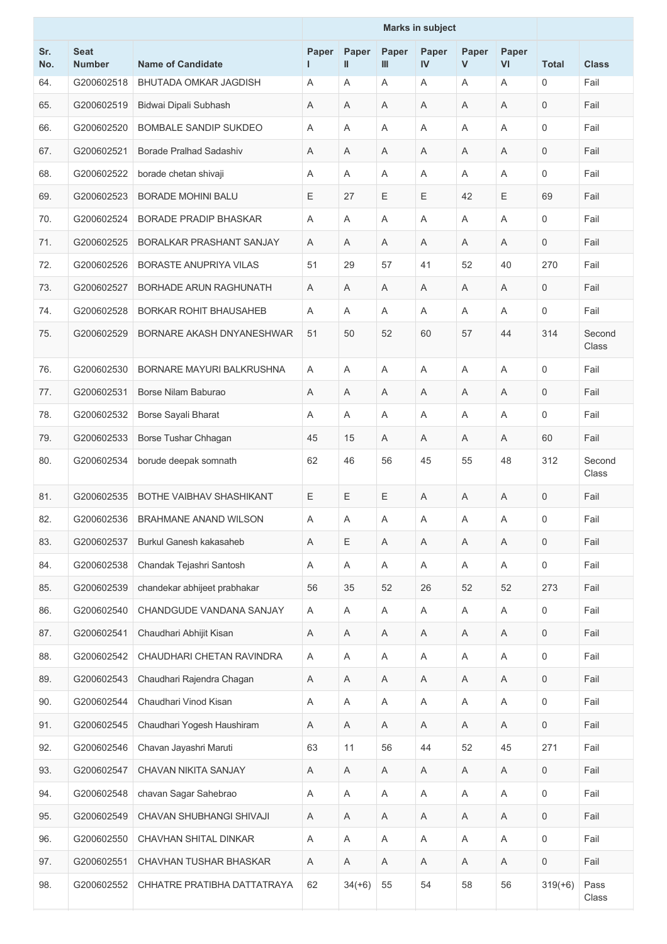|            |                              |                                | <b>Marks in subject</b> |                           |            |                           |                       |                           |                |                 |
|------------|------------------------------|--------------------------------|-------------------------|---------------------------|------------|---------------------------|-----------------------|---------------------------|----------------|-----------------|
| Sr.<br>No. | <b>Seat</b><br><b>Number</b> | <b>Name of Candidate</b>       | Paper<br>L.             | Paper<br>Ш                | Paper<br>Ш | Paper<br>IV               | Paper<br>$\mathsf{V}$ | Paper<br>VI               | <b>Total</b>   | <b>Class</b>    |
| 64.        | G200602518                   | <b>BHUTADA OMKAR JAGDISH</b>   | Α                       | A                         | Α          | Α                         | Α                     | A                         | $\mathbf 0$    | Fail            |
| 65.        | G200602519                   | Bidwai Dipali Subhash          | Α                       | A                         | Α          | A                         | Α                     | A                         | $\mathbf 0$    | Fail            |
| 66.        | G200602520                   | <b>BOMBALE SANDIP SUKDEO</b>   | A                       | A                         | A          | A                         | A                     | A                         | $\Omega$       | Fail            |
| 67.        | G200602521                   | <b>Borade Pralhad Sadashiv</b> | Α                       | A                         | A          | A                         | A                     | A                         | $\overline{0}$ | Fail            |
| 68.        | G200602522                   | borade chetan shivaji          | Α                       | Α                         | Α          | Α                         | Α                     | Α                         | 0              | Fail            |
| 69.        | G200602523                   | <b>BORADE MOHINI BALU</b>      | Ε                       | 27                        | Ε          | Ε                         | 42                    | Ε                         | 69             | Fail            |
| 70.        | G200602524                   | <b>BORADE PRADIP BHASKAR</b>   | A                       | $\overline{A}$            | A          | A                         | A                     | A                         | $\mathbf 0$    | Fail            |
| 71.        | G200602525                   | BORALKAR PRASHANT SANJAY       | Α                       | A                         | Α          | Α                         | Α                     | Α                         | $\mathbf 0$    | Fail            |
| 72.        | G200602526                   | <b>BORASTE ANUPRIYA VILAS</b>  | 51                      | 29                        | 57         | 41                        | 52                    | 40                        | 270            | Fail            |
| 73.        | G200602527                   | BORHADE ARUN RAGHUNATH         | Α                       | Α                         | Α          | Α                         | Α                     | Α                         | 0              | Fail            |
| 74.        | G200602528                   | <b>BORKAR ROHIT BHAUSAHEB</b>  | Α                       | A                         | A          | A                         | A                     | A                         | $\mathbf 0$    | Fail            |
| 75.        | G200602529                   | BORNARE AKASH DNYANESHWAR      | 51                      | 50                        | 52         | 60                        | 57                    | 44                        | 314            | Second<br>Class |
| 76.        | G200602530                   | BORNARE MAYURI BALKRUSHNA      | A                       | A                         | A          | A                         | A                     | A                         | 0              | Fail            |
| 77.        | G200602531                   | Borse Nilam Baburao            | Α                       | A                         | Α          | Α                         | A                     | Α                         | $\mathbf 0$    | Fail            |
| 78.        | G200602532                   | Borse Sayali Bharat            | Α                       | A                         | Α          | Α                         | Α                     | A                         | 0              | Fail            |
| 79.        | G200602533                   | Borse Tushar Chhagan           | 45                      | 15                        | Α          | A                         | A                     | A                         | 60             | Fail            |
| 80.        | G200602534                   | borude deepak somnath          | 62                      | 46                        | 56         | 45                        | 55                    | 48                        | 312            | Second<br>Class |
| 81.        | G200602535                   | BOTHE VAIBHAV SHASHIKANT       | Ε                       | Ε                         | Е          | Α                         | Α                     | Α                         | $\mathbf 0$    | Fail            |
| 82.        | G200602536                   | BRAHMANE ANAND WILSON          | Α                       | Α                         | Α          | Α                         | Α                     | Α                         | 0              | Fail            |
| 83.        | G200602537                   | Burkul Ganesh kakasaheb        | Α                       | Ε                         | Α          | Α                         | Α                     | $\mathsf A$               | 0              | Fail            |
| 84.        | G200602538                   | Chandak Tejashri Santosh       | Α                       | Α                         | Α          | Α                         | Α                     | $\boldsymbol{\mathsf{A}}$ | 0              | Fail            |
| 85.        | G200602539                   | chandekar abhijeet prabhakar   | 56                      | 35                        | 52         | 26                        | 52                    | 52                        | 273            | Fail            |
| 86.        | G200602540                   | CHANDGUDE VANDANA SANJAY       | Α                       | A                         | Α          | A                         | Α                     | Α                         | 0              | Fail            |
| 87.        | G200602541                   | Chaudhari Abhijit Kisan        | Α                       | Α                         | Α          | Α                         | Α                     | Α                         | 0              | Fail            |
| 88.        | G200602542                   | CHAUDHARI CHETAN RAVINDRA      | Α                       | A                         | Α          | $\boldsymbol{\mathsf{A}}$ | Α                     | A                         | $\mathbf 0$    | Fail            |
| 89.        | G200602543                   | Chaudhari Rajendra Chagan      | Α                       | A                         | Α          | A                         | Α                     | Α                         | 0              | Fail            |
| 90.        | G200602544                   | Chaudhari Vinod Kisan          | Α                       | $\mathsf A$               | Α          | $\boldsymbol{\mathsf{A}}$ | Α                     | $\boldsymbol{\mathsf{A}}$ | 0              | Fail            |
| 91.        | G200602545                   | Chaudhari Yogesh Haushiram     | Α                       | A                         | A          | Α                         | A                     | Α                         | 0              | Fail            |
| 92.        | G200602546                   | Chavan Jayashri Maruti         | 63                      | 11                        | 56         | 44                        | 52                    | 45                        | 271            | Fail            |
| 93.        | G200602547                   | CHAVAN NIKITA SANJAY           | Α                       | Α                         | A          | Α                         | A                     | $\mathsf A$               | 0              | Fail            |
| 94.        | G200602548                   | chavan Sagar Sahebrao          | Α                       | Α                         | Α          | Α                         | Α                     | Α                         | 0              | Fail            |
| 95.        | G200602549                   | CHAVAN SHUBHANGI SHIVAJI       | $\mathsf A$             | $\mathsf A$               | Α          | $\boldsymbol{\mathsf{A}}$ | Α                     | $\boldsymbol{\mathsf{A}}$ | 0              | Fail            |
| 96.        | G200602550                   | CHAVHAN SHITAL DINKAR          | Α                       | Α                         | Α          | A                         | Α                     | Α                         | $\mathbf 0$    | Fail            |
| 97.        | G200602551                   | CHAVHAN TUSHAR BHASKAR         | Α                       | $\boldsymbol{\mathsf{A}}$ | A          | Α                         | A                     | Α                         | $\mathbf 0$    | Fail            |
| 98.        | G200602552                   | CHHATRE PRATIBHA DATTATRAYA    | 62                      | $34(+6)$                  | 55         | 54                        | 58                    | 56                        | $319(+6)$      | Pass<br>Class   |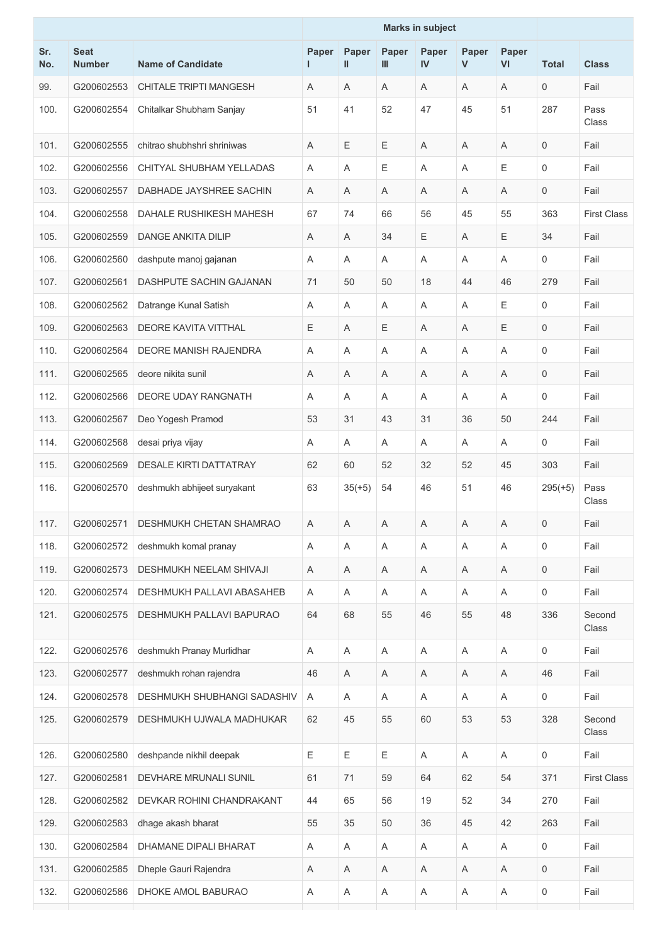|            |                              |                               | <b>Marks in subject</b> |                           |             |             |             |             |                     |                    |
|------------|------------------------------|-------------------------------|-------------------------|---------------------------|-------------|-------------|-------------|-------------|---------------------|--------------------|
| Sr.<br>No. | <b>Seat</b><br><b>Number</b> | <b>Name of Candidate</b>      | Paper<br>L.             | Paper<br>Ш                | Paper<br>Ш  | Paper<br>IV | Paper<br>V  | Paper<br>VI | <b>Total</b>        | <b>Class</b>       |
| 99.        | G200602553                   | <b>CHITALE TRIPTI MANGESH</b> | Α                       | A                         | Α           | A           | Α           | A           | 0                   | Fail               |
| 100.       | G200602554                   | Chitalkar Shubham Sanjay      | 51                      | 41                        | 52          | 47          | 45          | 51          | 287                 | Pass<br>Class      |
| 101.       | G200602555                   | chitrao shubhshri shriniwas   | A                       | Ε                         | E           | A           | A           | A           | $\overline{0}$      | Fail               |
| 102.       | G200602556                   | CHITYAL SHUBHAM YELLADAS      | Α                       | A                         | $\mathsf E$ | Α           | A           | Е           | $\mathbf 0$         | Fail               |
| 103.       | G200602557                   | DABHADE JAYSHREE SACHIN       | Α                       | A                         | A           | Α           | A           | A           | $\mathbf 0$         | Fail               |
| 104.       | G200602558                   | DAHALE RUSHIKESH MAHESH       | 67                      | 74                        | 66          | 56          | 45          | 55          | 363                 | <b>First Class</b> |
| 105.       | G200602559                   | <b>DANGE ANKITA DILIP</b>     | Α                       | A                         | 34          | Ε           | A           | Ε           | 34                  | Fail               |
| 106.       | G200602560                   | dashpute manoj gajanan        | A                       | $\overline{A}$            | Α           | A           | A           | A           | $\mathbf 0$         | Fail               |
| 107.       | G200602561                   | DASHPUTE SACHIN GAJANAN       | 71                      | 50                        | 50          | 18          | 44          | 46          | 279                 | Fail               |
| 108.       | G200602562                   | Datrange Kunal Satish         | Α                       | A                         | A           | Α           | A           | Е           | $\mathbf 0$         | Fail               |
| 109.       | G200602563                   | <b>DEORE KAVITA VITTHAL</b>   | Ε                       | A                         | Ε           | A           | A           | Ε           | $\mathbf 0$         | Fail               |
| 110.       | G200602564                   | DEORE MANISH RAJENDRA         | Α                       | A                         | A           | Α           | A           | Α           | $\Omega$            | Fail               |
| 111.       | G200602565                   | deore nikita sunil            | A                       | A                         | A           | A           | A           | Α           | $\mathbf 0$         | Fail               |
| 112.       | G200602566                   | DEORE UDAY RANGNATH           | A                       | A                         | Α           | A           | A           | A           | $\mathbf 0$         | Fail               |
| 113.       | G200602567                   | Deo Yogesh Pramod             | 53                      | 31                        | 43          | 31          | 36          | 50          | 244                 | Fail               |
| 114.       | G200602568                   | desai priya vijay             | Α                       | A                         | Α           | Α           | Α           | A           | $\Omega$            | Fail               |
| 115.       | G200602569                   | <b>DESALE KIRTI DATTATRAY</b> | 62                      | 60                        | 52          | 32          | 52          | 45          | 303                 | Fail               |
| 116.       | G200602570                   | deshmukh abhijeet suryakant   | 63                      | $35(+5)$                  | 54          | 46          | 51          | 46          | $295(+5)$           | Pass<br>Class      |
| 117.       | G200602571                   | DESHMUKH CHETAN SHAMRAO       | A                       | $\mathsf{A}$              | A           | A           | $\mathsf A$ | A           | $\overline{0}$      | Fail               |
| 118.       | G200602572                   | deshmukh komal pranay         | Α                       | A                         | Α           | $\mathsf A$ | Α           | $\mathsf A$ | $\mathbf 0$         | Fail               |
| 119.       | G200602573                   | DESHMUKH NEELAM SHIVAJI       | Α                       | Α                         | A           | Α           | A           | Α           | $\mathsf{O}\xspace$ | Fail               |
| 120.       | G200602574                   | DESHMUKH PALLAVI ABASAHEB     | A                       | A                         | Α           | A           | Α           | A           | $\mathbf 0$         | Fail               |
| 121.       | G200602575                   | DESHMUKH PALLAVI BAPURAO      | 64                      | 68                        | 55          | 46          | 55          | 48          | 336                 | Second<br>Class    |
| 122.       | G200602576                   | deshmukh Pranay Murlidhar     | Α                       | A                         | A           | A           | A           | A           | $\mathbf 0$         | Fail               |
| 123.       | G200602577                   | deshmukh rohan rajendra       | 46                      | Α                         | A           | Α           | A           | Α           | 46                  | Fail               |
| 124.       | G200602578                   | DESHMUKH SHUBHANGI SADASHIV   | Α                       | A                         | Α           | A           | Α           | A           | $\mathsf{O}\xspace$ | Fail               |
| 125.       | G200602579                   | DESHMUKH UJWALA MADHUKAR      | 62                      | 45                        | 55          | 60          | 53          | 53          | 328                 | Second<br>Class    |
| 126.       | G200602580                   | deshpande nikhil deepak       | Ε                       | Ε                         | E           | A           | A           | A           | $\mathbf 0$         | Fail               |
| 127.       | G200602581                   | DEVHARE MRUNALI SUNIL         | 61                      | 71                        | 59          | 64          | 62          | 54          | 371                 | <b>First Class</b> |
| 128.       | G200602582                   | DEVKAR ROHINI CHANDRAKANT     | 44                      | 65                        | 56          | 19          | 52          | 34          | 270                 | Fail               |
| 129.       | G200602583                   | dhage akash bharat            | 55                      | 35                        | 50          | 36          | 45          | 42          | 263                 | Fail               |
| 130.       | G200602584                   | DHAMANE DIPALI BHARAT         | Α                       | Α                         | Α           | Α           | Α           | A           | 0                   | Fail               |
| 131.       | G200602585                   | Dheple Gauri Rajendra         | Α                       | $\boldsymbol{\mathsf{A}}$ | A           | Α           | A           | Α           | $\mathbf 0$         | Fail               |
| 132.       | G200602586                   | DHOKE AMOL BABURAO            | Α                       | $\mathsf A$               | A           | Α           | A           | $\mathsf A$ | $\mathsf 0$         | Fail               |
|            |                              |                               |                         |                           |             |             |             |             |                     |                    |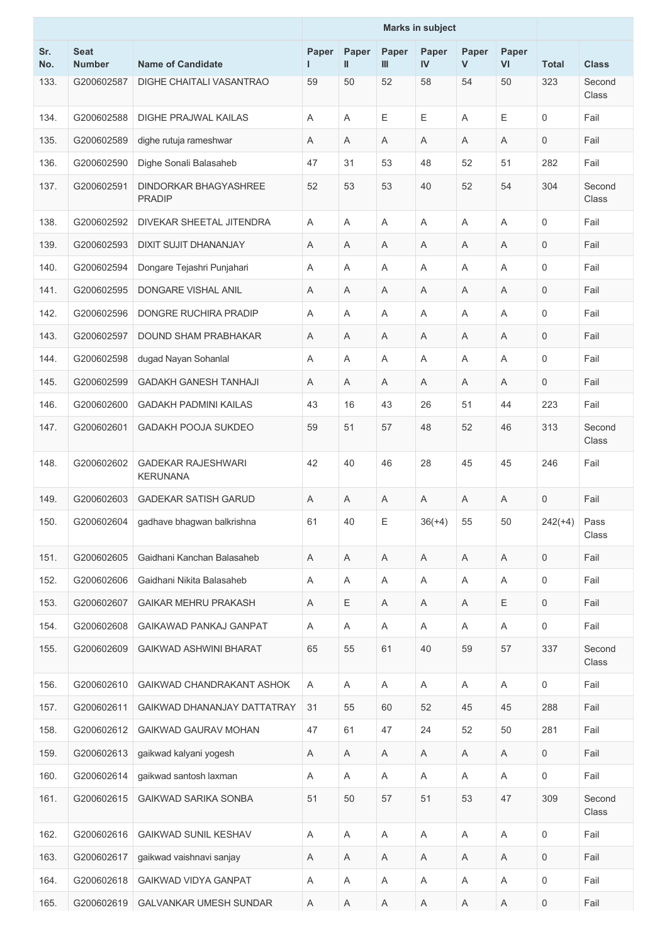|            |                              |                                               | <b>Marks in subject</b> |                |            |             |                       |             |              |                 |
|------------|------------------------------|-----------------------------------------------|-------------------------|----------------|------------|-------------|-----------------------|-------------|--------------|-----------------|
| Sr.<br>No. | <b>Seat</b><br><b>Number</b> | <b>Name of Candidate</b>                      | Paper<br>I.             | Paper<br>Ш     | Paper<br>Ш | Paper<br>IV | Paper<br>$\mathsf{V}$ | Paper<br>VI | <b>Total</b> | <b>Class</b>    |
| 133.       | G200602587                   | DIGHE CHAITALI VASANTRAO                      | 59                      | 50             | 52         | 58          | 54                    | 50          | 323          | Second<br>Class |
| 134.       | G200602588                   | <b>DIGHE PRAJWAL KAILAS</b>                   | A                       | A              | E          | Е           | A                     | Е           | 0            | Fail            |
| 135.       | G200602589                   | dighe rutuja rameshwar                        | Α                       | Α              | Α          | Α           | Α                     | A           | 0            | Fail            |
| 136.       | G200602590                   | Dighe Sonali Balasaheb                        | 47                      | 31             | 53         | 48          | 52                    | 51          | 282          | Fail            |
| 137.       | G200602591                   | <b>DINDORKAR BHAGYASHREE</b><br><b>PRADIP</b> | 52                      | 53             | 53         | 40          | 52                    | 54          | 304          | Second<br>Class |
| 138.       | G200602592                   | DIVEKAR SHEETAL JITENDRA                      | Α                       | A              | Α          | A           | Α                     | A           | 0            | Fail            |
| 139.       | G200602593                   | <b>DIXIT SUJIT DHANANJAY</b>                  | Α                       | A              | A          | Α           | A                     | A           | 0            | Fail            |
| 140.       | G200602594                   | Dongare Tejashri Punjahari                    | Α                       | A              | Α          | Α           | Α                     | A           | 0            | Fail            |
| 141.       | G200602595                   | DONGARE VISHAL ANIL                           | Α                       | A              | A          | A           | A                     | A           | 0            | Fail            |
| 142.       | G200602596                   | <b>DONGRE RUCHIRA PRADIP</b>                  | Α                       | $\overline{A}$ | A          | A           | A                     | A           | 0            | Fail            |
| 143.       | G200602597                   | <b>DOUND SHAM PRABHAKAR</b>                   | Α                       | Α              | Α          | A           | Α                     | A           | 0            | Fail            |
| 144.       | G200602598                   | dugad Nayan Sohanlal                          | Α                       | A              | A          | Α           | A                     | Α           | $\mathbf 0$  | Fail            |
| 145.       | G200602599                   | <b>GADAKH GANESH TANHAJI</b>                  | Α                       | A              | Α          | A           | Α                     | A           | 0            | Fail            |
| 146.       | G200602600                   | <b>GADAKH PADMINI KAILAS</b>                  | 43                      | 16             | 43         | 26          | 51                    | 44          | 223          | Fail            |
| 147.       | G200602601                   | <b>GADAKH POOJA SUKDEO</b>                    | 59                      | 51             | 57         | 48          | 52                    | 46          | 313          | Second<br>Class |
| 148.       | G200602602                   | <b>GADEKAR RAJESHWARI</b><br><b>KERUNANA</b>  | 42                      | 40             | 46         | 28          | 45                    | 45          | 246          | Fail            |
| 149.       | G200602603                   | <b>GADEKAR SATISH GARUD</b>                   | Α                       | A              | Α          | Α           | A                     | A           | 0            | Fail            |
| 150.       |                              | G200602604 gadhave bhagwan balkrishna         | 61                      | 40             | Ε          | $36(+4)$    | 55                    | 50          | $242(+4)$    | Pass<br>Class   |
| 151.       | G200602605                   | Gaidhani Kanchan Balasaheb                    | Α                       | Α              | Α          | Α           | Α                     | Α           | 0            | Fail            |
| 152.       | G200602606                   | Gaidhani Nikita Balasaheb                     | Α                       | A              | A          | A           | A                     | A           | $\mathbf 0$  | Fail            |
| 153.       | G200602607                   | <b>GAIKAR MEHRU PRAKASH</b>                   | Α                       | Ε              | Α          | Α           | A                     | Ε           | 0            | Fail            |
| 154.       | G200602608                   | GAIKAWAD PANKAJ GANPAT                        | Α                       | Α              | Α          | A           | Α                     | Α           | 0            | Fail            |
| 155.       | G200602609                   | <b>GAIKWAD ASHWINI BHARAT</b>                 | 65                      | 55             | 61         | 40          | 59                    | 57          | 337          | Second<br>Class |
| 156.       | G200602610                   | GAIKWAD CHANDRAKANT ASHOK                     | A                       | A              | A          | A           | A                     | A           | 0            | Fail            |
| 157.       | G200602611                   | GAIKWAD DHANANJAY DATTATRAY                   | 31                      | 55             | 60         | 52          | 45                    | 45          | 288          | Fail            |
| 158.       | G200602612                   | GAIKWAD GAURAV MOHAN                          | 47                      | 61             | 47         | 24          | 52                    | 50          | 281          | Fail            |
| 159.       | G200602613                   | gaikwad kalyani yogesh                        | A                       | A              | Α          | Α           | Α                     | A           | 0            | Fail            |
| 160.       | G200602614                   | gaikwad santosh laxman                        | Α                       | A              | Α          | Α           | Α                     | A           | 0            | Fail            |
| 161.       | G200602615                   | <b>GAIKWAD SARIKA SONBA</b>                   | 51                      | 50             | 57         | 51          | 53                    | 47          | 309          | Second<br>Class |
| 162.       | G200602616                   | <b>GAIKWAD SUNIL KESHAV</b>                   | Α                       | Α              | Α          | Α           | Α                     | Α           | 0            | Fail            |
| 163.       | G200602617                   | gaikwad vaishnavi sanjay                      | $\mathsf A$             | $\mathsf A$    | Α          | Α           | Α                     | A           | 0            | Fail            |
| 164.       | G200602618                   | GAIKWAD VIDYA GANPAT                          | Α                       | A              | Α          | A           | Α                     | A           | 0            | Fail            |
| 165.       | G200602619                   | GALVANKAR UMESH SUNDAR                        | Α                       | $\mathsf A$    | Α          | A           | Α                     | A           | $\mathsf 0$  | Fail            |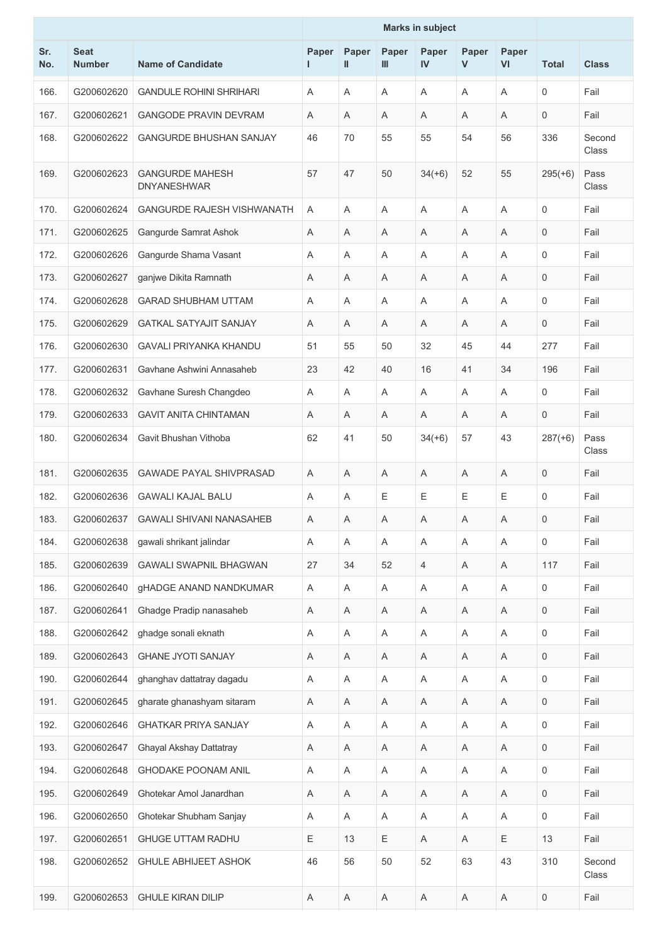|            |                              |                                              | <b>Marks in subject</b> |                |             |                           |                      |                           |              |                 |
|------------|------------------------------|----------------------------------------------|-------------------------|----------------|-------------|---------------------------|----------------------|---------------------------|--------------|-----------------|
| Sr.<br>No. | <b>Seat</b><br><b>Number</b> | <b>Name of Candidate</b>                     | Paper<br>L.             | Paper<br>Ш     | Paper<br>Ш  | Paper<br>IV               | Paper<br>$\mathbf v$ | Paper<br>VI               | <b>Total</b> | <b>Class</b>    |
| 166.       | G200602620                   | <b>GANDULE ROHINI SHRIHARI</b>               | A                       | $\overline{A}$ | A           | A                         | A                    | A                         | 0            | Fail            |
| 167.       | G200602621                   | <b>GANGODE PRAVIN DEVRAM</b>                 | Α                       | A              | Α           | Α                         | Α                    | A                         | 0            | Fail            |
| 168.       | G200602622                   | <b>GANGURDE BHUSHAN SANJAY</b>               | 46                      | 70             | 55          | 55                        | 54                   | 56                        | 336          | Second<br>Class |
| 169.       | G200602623                   | <b>GANGURDE MAHESH</b><br><b>DNYANESHWAR</b> | 57                      | 47             | 50          | $34(+6)$                  | 52                   | 55                        | $295(+6)$    | Pass<br>Class   |
| 170.       | G200602624                   | <b>GANGURDE RAJESH VISHWANATH</b>            | Α                       | A              | A           | Α                         | A                    | A                         | 0            | Fail            |
| 171.       | G200602625                   | Gangurde Samrat Ashok                        | Α                       | A              | A           | A                         | A                    | A                         | 0            | Fail            |
| 172.       | G200602626                   | Gangurde Shama Vasant                        | Α                       | Α              | Α           | Α                         | Α                    | Α                         | 0            | Fail            |
| 173.       | G200602627                   | ganjwe Dikita Ramnath                        | Α                       | A              | A           | A                         | Α                    | $\overline{A}$            | 0            | Fail            |
| 174.       | G200602628                   | <b>GARAD SHUBHAM UTTAM</b>                   | A                       | $\overline{A}$ | A           | A                         | A                    | A                         | 0            | Fail            |
| 175.       | G200602629                   | <b>GATKAL SATYAJIT SANJAY</b>                | Α                       | Α              | Α           | A                         | Α                    | Α                         | 0            | Fail            |
| 176.       | G200602630                   | <b>GAVALI PRIYANKA KHANDU</b>                | 51                      | 55             | 50          | 32                        | 45                   | 44                        | 277          | Fail            |
| 177.       | G200602631                   | Gavhane Ashwini Annasaheb                    | 23                      | 42             | 40          | 16                        | 41                   | 34                        | 196          | Fail            |
| 178.       | G200602632                   | Gavhane Suresh Changdeo                      | Α                       | A              | Α           | A                         | Α                    | A                         | 0            | Fail            |
| 179.       | G200602633                   | <b>GAVIT ANITA CHINTAMAN</b>                 | Α                       | A              | Α           | Α                         | Α                    | A                         | 0            | Fail            |
| 180.       | G200602634                   | Gavit Bhushan Vithoba                        | 62                      | 41             | 50          | $34(+6)$                  | 57                   | 43                        | $287(+6)$    | Pass<br>Class   |
| 181.       | G200602635                   | <b>GAWADE PAYAL SHIVPRASAD</b>               | Α                       | A              | A           | Α                         | A                    | A                         | 0            | Fail            |
| 182.       | G200602636                   | <b>GAWALI KAJAL BALU</b>                     | Α                       | A              | Ε           | Ε                         | Ε                    | Ε                         | 0            | Fail            |
| 183.       | G200602637                   | <b>GAWALI SHIVANI NANASAHEB</b>              | Α                       | Α              | Α           | Α                         | Α                    | Α                         | 0            | Fail            |
| 184.       | G200602638                   | gawali shrikant jalindar                     | A                       | A              | A           | A                         | A                    | A                         | 0            | Fail            |
| 185.       | G200602639                   | <b>GAWALI SWAPNIL BHAGWAN</b>                | 27                      | 34             | 52          | 4                         | A                    | A                         | 117          | Fail            |
| 186.       | G200602640                   | <b>gHADGE ANAND NANDKUMAR</b>                | Α                       | $\mathsf A$    | Α           | $\boldsymbol{\mathsf{A}}$ | A                    | A                         | 0            | Fail            |
| 187.       | G200602641                   | Ghadge Pradip nanasaheb                      | Α                       | A              | Α           | Α                         | Α                    | A                         | 0            | Fail            |
| 188.       | G200602642                   | ghadge sonali eknath                         | Α                       | Α              | Α           | Α                         | Α                    | Α                         | 0            | Fail            |
| 189.       | G200602643                   | <b>GHANE JYOTI SANJAY</b>                    | $\mathsf A$             | Α              | Α           | $\boldsymbol{\mathsf{A}}$ | Α                    | $\boldsymbol{\mathsf{A}}$ | 0            | Fail            |
| 190.       | G200602644                   | ghanghav dattatray dagadu                    | Α                       | Α              | Α           | Α                         | Α                    | Α                         | 0            | Fail            |
| 191.       | G200602645                   | gharate ghanashyam sitaram                   | Α                       | A              | Α           | Α                         | Α                    | Α                         | $\mathbf 0$  | Fail            |
| 192.       | G200602646                   | <b>GHATKAR PRIYA SANJAY</b>                  | Α                       | A              | A           | A                         | A                    | A                         | 0            | Fail            |
| 193.       | G200602647                   | Ghayal Akshay Dattatray                      | Α                       | Α              | Α           | Α                         | Α                    | A                         | 0            | Fail            |
| 194.       | G200602648                   | <b>GHODAKE POONAM ANIL</b>                   | Α                       | A              | A           | $\boldsymbol{\mathsf{A}}$ | A                    | A                         | 0            | Fail            |
| 195.       | G200602649                   | Ghotekar Amol Janardhan                      | Α                       | A              | Α           | A                         | Α                    | A                         | 0            | Fail            |
| 196.       | G200602650                   | Ghotekar Shubham Sanjay                      | A                       | A              | Α           | $\boldsymbol{\mathsf{A}}$ | Α                    | $\boldsymbol{\mathsf{A}}$ | 0            | Fail            |
| 197.       | G200602651                   | <b>GHUGE UTTAM RADHU</b>                     | Ε                       | 13             | $\mathsf E$ | $\mathsf A$               | Α                    | Ε                         | 13           | Fail            |
| 198.       | G200602652                   | <b>GHULE ABHIJEET ASHOK</b>                  | 46                      | 56             | 50          | 52                        | 63                   | 43                        | 310          | Second<br>Class |
| 199.       | G200602653                   | <b>GHULE KIRAN DILIP</b>                     | Α                       | $\mathsf A$    | Α           | Α                         | Α                    | $\mathsf A$               | 0            | Fail            |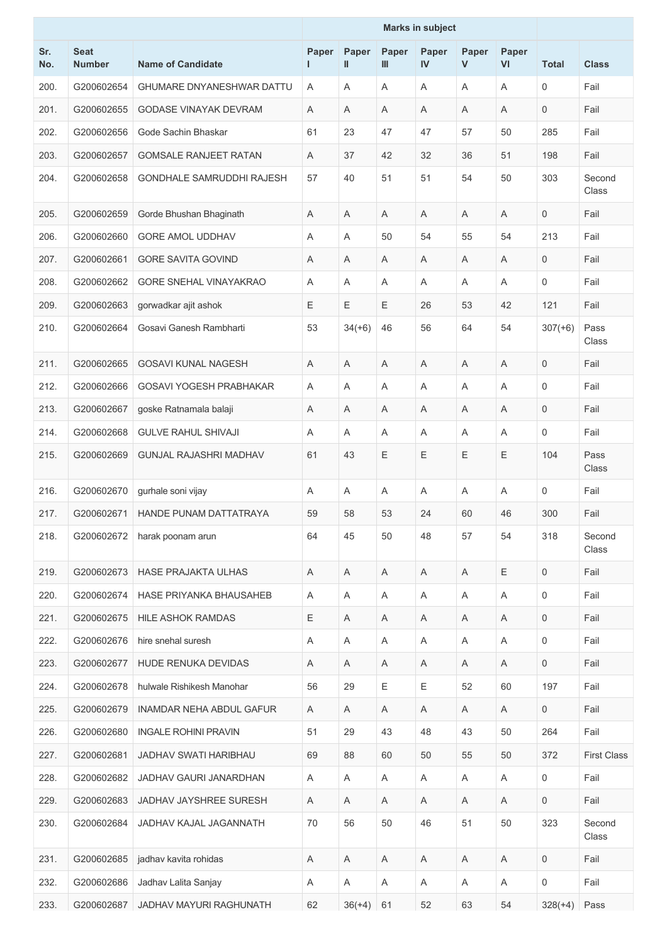|            |                              |                                  | <b>Marks in subject</b> |            |                |             |            |             |                     |                    |
|------------|------------------------------|----------------------------------|-------------------------|------------|----------------|-------------|------------|-------------|---------------------|--------------------|
| Sr.<br>No. | <b>Seat</b><br><b>Number</b> | <b>Name of Candidate</b>         | Paper<br>I.             | Paper<br>Ш | Paper<br>Ш     | Paper<br>IV | Paper<br>V | Paper<br>VI | <b>Total</b>        | <b>Class</b>       |
| 200.       | G200602654                   | <b>GHUMARE DNYANESHWAR DATTU</b> | A                       | A          | $\overline{A}$ | A           | A          | A           | $\mathbf 0$         | Fail               |
| 201.       | G200602655                   | <b>GODASE VINAYAK DEVRAM</b>     | A                       | A          | Α              | A           | A          | Α           | $\mathbf 0$         | Fail               |
| 202.       | G200602656                   | Gode Sachin Bhaskar              | 61                      | 23         | 47             | 47          | 57         | 50          | 285                 | Fail               |
| 203.       | G200602657                   | <b>GOMSALE RANJEET RATAN</b>     | Α                       | 37         | 42             | 32          | 36         | 51          | 198                 | Fail               |
| 204.       | G200602658                   | <b>GONDHALE SAMRUDDHI RAJESH</b> | 57                      | 40         | 51             | 51          | 54         | 50          | 303                 | Second<br>Class    |
| 205.       | G200602659                   | Gorde Bhushan Bhaginath          | Α                       | Α          | Α              | A           | Α          | A           | $\mathbf{0}$        | Fail               |
| 206.       | G200602660                   | <b>GORE AMOL UDDHAV</b>          | Α                       | A          | 50             | 54          | 55         | 54          | 213                 | Fail               |
| 207.       | G200602661                   | <b>GORE SAVITA GOVIND</b>        | Α                       | A          | Α              | A           | Α          | A           | $\mathbf 0$         | Fail               |
| 208.       | G200602662                   | GORE SNEHAL VINAYAKRAO           | Α                       | A          | Α              | A           | Α          | A           | $\Omega$            | Fail               |
| 209.       | G200602663                   | gorwadkar ajit ashok             | Ε                       | Ε          | Ε              | 26          | 53         | 42          | 121                 | Fail               |
| 210.       | G200602664                   | Gosavi Ganesh Rambharti          | 53                      | $34(+6)$   | 46             | 56          | 64         | 54          | $307(+6)$           | Pass<br>Class      |
| 211.       | G200602665                   | <b>GOSAVI KUNAL NAGESH</b>       | Α                       | A          | Α              | A           | A          | A           | $\mathbf 0$         | Fail               |
| 212.       | G200602666                   | <b>GOSAVI YOGESH PRABHAKAR</b>   | Α                       | A          | Α              | A           | A          | Α           | $\mathbf 0$         | Fail               |
| 213.       | G200602667                   | goske Ratnamala balaji           | Α                       | Α          | Α              | A           | Α          | Α           | $\mathbf{0}$        | Fail               |
| 214.       | G200602668                   | <b>GULVE RAHUL SHIVAJI</b>       | Α                       | A          | A              | A           | A          | Α           | $\overline{0}$      | Fail               |
| 215.       | G200602669                   | <b>GUNJAL RAJASHRI MADHAV</b>    | 61                      | 43         | E              | E           | E          | E           | 104                 | Pass<br>Class      |
| 216.       | G200602670                   | gurhale soni vijay               | Α                       | A          | Α              | A           | Α          | A           | $\mathbf 0$         | Fail               |
| 217.       | G200602671                   | HANDE PUNAM DATTATRAYA           | 59                      | 58         | 53             | 24          | 60         | 46          | 300                 | Fail               |
| 218.       | G200602672                   | harak poonam arun                | 64                      | 45         | 50             | 48          | 57         | 54          | 318                 | Second<br>Class    |
| 219.       | G200602673                   | <b>HASE PRAJAKTA ULHAS</b>       | Α                       | A          | A              | A           | Α          | Ε           | $\mathbf 0$         | Fail               |
| 220.       | G200602674                   | HASE PRIYANKA BHAUSAHEB          | Α                       | Α          | Α              | Α           | A          | Α           | $\mathbf 0$         | Fail               |
| 221.       | G200602675                   | <b>HILE ASHOK RAMDAS</b>         | $\mathsf E$             | A          | Α              | Α           | A          | A           | $\mathbf 0$         | Fail               |
| 222.       | G200602676                   | hire snehal suresh               | Α                       | A          | Α              | A           | Α          | A           | $\mathbf 0$         | Fail               |
| 223.       | G200602677                   | HUDE RENUKA DEVIDAS              | Α                       | A          | Α              | Α           | A          | Α           | $\mathbf 0$         | Fail               |
| 224.       | G200602678                   | hulwale Rishikesh Manohar        | 56                      | 29         | Ε              | Ε           | 52         | 60          | 197                 | Fail               |
| 225.       | G200602679                   | <b>INAMDAR NEHA ABDUL GAFUR</b>  | Α                       | Α          | A              | Α           | A          | Α           | $\mathbf 0$         | Fail               |
| 226.       | G200602680                   | <b>INGALE ROHINI PRAVIN</b>      | 51                      | 29         | 43             | 48          | 43         | 50          | 264                 | Fail               |
| 227.       | G200602681                   | JADHAV SWATI HARIBHAU            | 69                      | 88         | 60             | 50          | 55         | 50          | 372                 | <b>First Class</b> |
| 228.       | G200602682                   | JADHAV GAURI JANARDHAN           | Α                       | Α          | Α              | Α           | A          | Α           | $\mathbf 0$         | Fail               |
| 229.       | G200602683                   | JADHAV JAYSHREE SURESH           | Α                       | A          | A              | Α           | A          | Α           | $\mathbf 0$         | Fail               |
| 230.       | G200602684                   | JADHAV KAJAL JAGANNATH           | 70                      | 56         | 50             | 46          | 51         | 50          | 323                 | Second<br>Class    |
| 231.       | G200602685                   | jadhav kavita rohidas            | A                       | A          | Α              | Α           | A          | Α           | 0                   | Fail               |
| 232.       | G200602686                   | Jadhav Lalita Sanjay             | Α                       | Α          | Α              | Α           | A          | Α           | $\mathsf{O}\xspace$ | Fail               |
| 233.       | G200602687                   | JADHAV MAYURI RAGHUNATH          | 62                      | $36(+4)$   | 61             | 52          | 63         | 54          | $328(+4)$           | Pass               |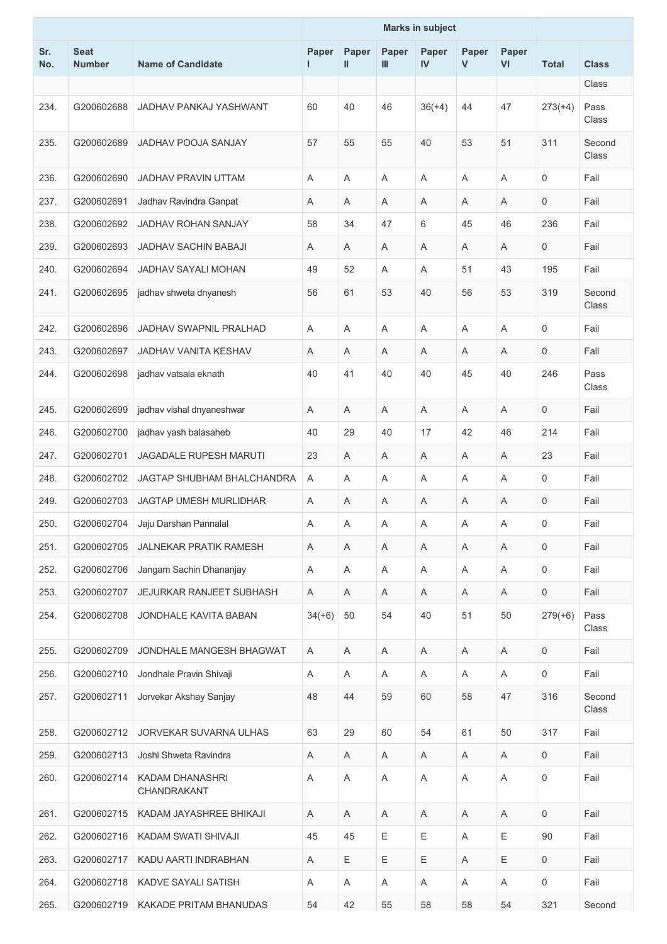|            |                              |                                       | <b>Marks in subject</b> |            |             |             |                           |                           |                     |                 |
|------------|------------------------------|---------------------------------------|-------------------------|------------|-------------|-------------|---------------------------|---------------------------|---------------------|-----------------|
| Sr.<br>No. | <b>Seat</b><br><b>Number</b> | <b>Name of Candidate</b>              | Paper<br>L              | Paper<br>Ш | Paper<br>Ш  | Paper<br>IV | Paper<br>$\mathsf{V}$     | Paper<br>VI               | <b>Total</b>        | <b>Class</b>    |
|            |                              |                                       |                         |            |             |             |                           |                           |                     | Class           |
| 234.       | G200602688                   | JADHAV PANKAJ YASHWANT                | 60                      | 40         | 46          | $36(+4)$    | 44                        | 47                        | $273(+4)$           | Pass<br>Class   |
| 235.       | G200602689                   | <b>JADHAV POOJA SANJAY</b>            | 57                      | 55         | 55          | 40          | 53                        | 51                        | 311                 | Second<br>Class |
| 236.       | G200602690                   | <b>JADHAV PRAVIN UTTAM</b>            | A                       | A          | A           | A           | Α                         | Α                         | $\mathbf 0$         | Fail            |
| 237.       | G200602691                   | Jadhav Ravindra Ganpat                | Α                       | Α          | Α           | Α           | A                         | Α                         | $\mathbf 0$         | Fail            |
| 238.       | G200602692                   | <b>JADHAV ROHAN SANJAY</b>            | 58                      | 34         | 47          | 6           | 45                        | 46                        | 236                 | Fail            |
| 239.       | G200602693                   | <b>JADHAV SACHIN BABAJI</b>           | Α                       | A          | A           | A           | Α                         | A                         | $\mathbf 0$         | Fail            |
| 240.       | G200602694                   | <b>JADHAV SAYALI MOHAN</b>            | 49                      | 52         | Α           | Α           | 51                        | 43                        | 195                 | Fail            |
| 241.       | G200602695                   | jadhav shweta dnyanesh                | 56                      | 61         | 53          | 40          | 56                        | 53                        | 319                 | Second<br>Class |
| 242.       | G200602696                   | JADHAV SWAPNIL PRALHAD                | Α                       | A          | A           | A           | A                         | A                         | $\mathbf 0$         | Fail            |
| 243.       | G200602697                   | <b>JADHAV VANITA KESHAV</b>           | Α                       | A          | Α           | Α           | Α                         | Α                         | $\mathbf 0$         | Fail            |
| 244.       | G200602698                   | jadhav vatsala eknath                 | 40                      | 41         | 40          | 40          | 45                        | 40                        | 246                 | Pass<br>Class   |
| 245.       | G200602699                   | jadhav vishal dnyaneshwar             | Α                       | Α          | Α           | Α           | A                         | Α                         | $\mathbf 0$         | Fail            |
| 246.       | G200602700                   | jadhav yash balasaheb                 | 40                      | 29         | 40          | 17          | 42                        | 46                        | 214                 | Fail            |
| 247.       | G200602701                   | <b>JAGADALE RUPESH MARUTI</b>         | 23                      | A          | A           | Α           | Α                         | Α                         | 23                  | Fail            |
| 248.       | G200602702                   | JAGTAP SHUBHAM BHALCHANDRA            | Α                       | Α          | Α           | Α           | Α                         | Α                         | $\mathbf 0$         | Fail            |
| 249.       | G200602703                   | <b>JAGTAP UMESH MURLIDHAR</b>         | Α                       | Α          | Α           | Α           | A                         | Α                         | $\mathbf 0$         | Fail            |
| 250.       | G200602704                   | Jaju Darshan Pannalal                 | Α                       | Α          | A           | Α           | $\boldsymbol{\mathsf{A}}$ | Α                         | $\mathsf{O}\xspace$ | Fail            |
| 251.       | G200602705                   | <b>JALNEKAR PRATIK RAMESH</b>         | Α                       | A          | Α           | A           | Α                         | A                         | $\mathbf 0$         | Fail            |
| 252.       | G200602706                   | Jangam Sachin Dhananjay               | Α                       | A          | Α           | Α           | Α                         | $\boldsymbol{\mathsf{A}}$ | $\mathbf 0$         | Fail            |
| 253.       | G200602707                   | JEJURKAR RANJEET SUBHASH              | Α                       | A          | A           | Α           | A                         | A                         | $\mathbf 0$         | Fail            |
| 254.       | G200602708                   | JONDHALE KAVITA BABAN                 | $34(+6)$                | 50         | 54          | 40          | 51                        | 50                        | $279(+6)$           | Pass<br>Class   |
| 255.       | G200602709                   | JONDHALE MANGESH BHAGWAT              | Α                       | A          | A           | A           | A                         | A                         | $\mathbf 0$         | Fail            |
| 256.       | G200602710                   | Jondhale Pravin Shivaji               | Α                       | Α          | A           | Α           | A                         | Α                         | $\mathbf 0$         | Fail            |
| 257.       | G200602711                   | Jorvekar Akshay Sanjay                | 48                      | 44         | 59          | 60          | 58                        | 47                        | 316                 | Second<br>Class |
| 258.       | G200602712                   | <b>JORVEKAR SUVARNA ULHAS</b>         | 63                      | 29         | 60          | 54          | 61                        | 50                        | 317                 | Fail            |
| 259.       | G200602713                   | Joshi Shweta Ravindra                 | Α                       | Α          | A           | Α           | A                         | Α                         | $\mathbf 0$         | Fail            |
| 260.       | G200602714                   | <b>KADAM DHANASHRI</b><br>CHANDRAKANT | Α                       | A          | Α           | Α           | A                         | Α                         | 0                   | Fail            |
| 261.       | G200602715                   | KADAM JAYASHREE BHIKAJI               | A                       | A          | A           | Α           | Α                         | Α                         | $\mathbf 0$         | Fail            |
| 262.       | G200602716                   | KADAM SWATI SHIVAJI                   | 45                      | 45         | Ε           | Ε           | Α                         | Ε                         | 90                  | Fail            |
| 263.       | G200602717                   | KADU AARTI INDRABHAN                  | Α                       | Ε          | $\mathsf E$ | Ε           | Α                         | E                         | $\mathsf{O}\xspace$ | Fail            |
| 264.       | G200602718                   | KADVE SAYALI SATISH                   | Α                       | A          | Α           | Α           | A                         | Α                         | $\mathsf{O}\xspace$ | Fail            |
| 265.       | G200602719                   | KAKADE PRITAM BHANUDAS                | 54                      | 42         | 55          | 58          | 58                        | 54                        | 321                 | Second          |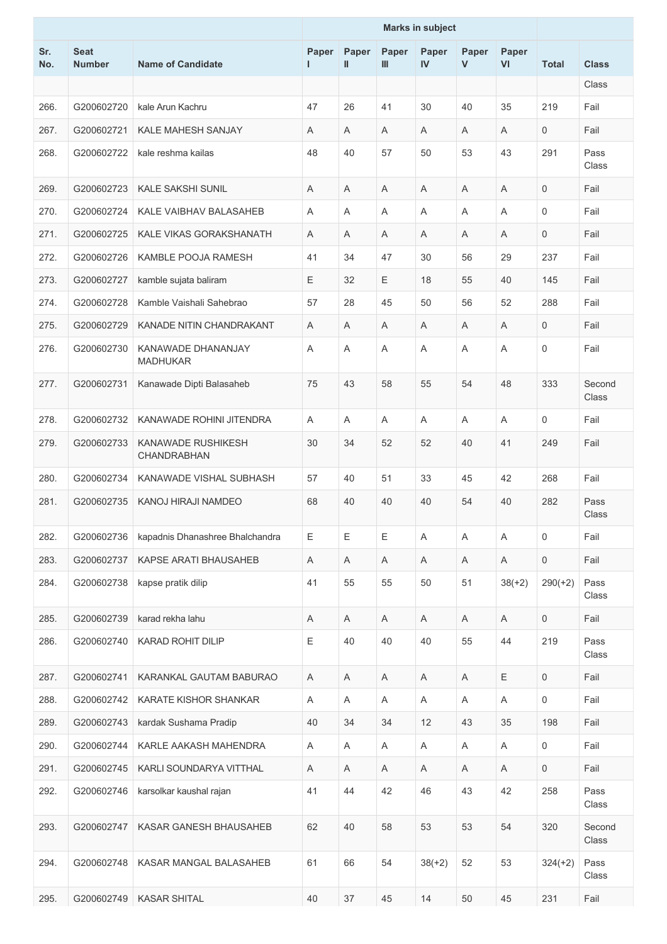|            |                              |                                       | <b>Marks in subject</b> |                       |            |             |                       |             |              |                 |
|------------|------------------------------|---------------------------------------|-------------------------|-----------------------|------------|-------------|-----------------------|-------------|--------------|-----------------|
| Sr.<br>No. | <b>Seat</b><br><b>Number</b> | <b>Name of Candidate</b>              | Paper<br>L.             | Paper<br>$\mathbf{I}$ | Paper<br>Ш | Paper<br>IV | Paper<br>$\mathsf{V}$ | Paper<br>VI | <b>Total</b> | <b>Class</b>    |
|            |                              |                                       |                         |                       |            |             |                       |             |              | Class           |
| 266.       | G200602720                   | kale Arun Kachru                      | 47                      | 26                    | 41         | 30          | 40                    | 35          | 219          | Fail            |
| 267.       | G200602721                   | <b>KALE MAHESH SANJAY</b>             | Α                       | A                     | Α          | A           | A                     | A           | $\mathbf 0$  | Fail            |
| 268.       | G200602722                   | kale reshma kailas                    | 48                      | 40                    | 57         | 50          | 53                    | 43          | 291          | Pass<br>Class   |
| 269.       | G200602723                   | <b>KALE SAKSHI SUNIL</b>              | Α                       | A                     | A          | A           | A                     | A           | 0            | Fail            |
| 270.       | G200602724                   | KALE VAIBHAV BALASAHEB                | Α                       | A                     | A          | A           | A                     | A           | 0            | Fail            |
| 271.       | G200602725                   | KALE VIKAS GORAKSHANATH               | Α                       | A                     | Α          | A           | Α                     | A           | 0            | Fail            |
| 272.       | G200602726                   | KAMBLE POOJA RAMESH                   | 41                      | 34                    | 47         | 30          | 56                    | 29          | 237          | Fail            |
| 273.       | G200602727                   | kamble sujata baliram                 | Ε                       | 32                    | Ε          | 18          | 55                    | 40          | 145          | Fail            |
| 274.       | G200602728                   | Kamble Vaishali Sahebrao              | 57                      | 28                    | 45         | 50          | 56                    | 52          | 288          | Fail            |
| 275.       | G200602729                   | KANADE NITIN CHANDRAKANT              | Α                       | A                     | A          | A           | A                     | A           | 0            | Fail            |
| 276.       | G200602730                   | KANAWADE DHANANJAY<br><b>MADHUKAR</b> | Α                       | A                     | A          | A           | A                     | A           | 0            | Fail            |
| 277.       | G200602731                   | Kanawade Dipti Balasaheb              | 75                      | 43                    | 58         | 55          | 54                    | 48          | 333          | Second<br>Class |
| 278.       | G200602732                   | KANAWADE ROHINI JITENDRA              | A                       | A                     | A          | A           | A                     | A           | 0            | Fail            |
| 279.       | G200602733                   | KANAWADE RUSHIKESH<br>CHANDRABHAN     | 30                      | 34                    | 52         | 52          | 40                    | 41          | 249          | Fail            |
| 280.       | G200602734                   | KANAWADE VISHAL SUBHASH               | 57                      | 40                    | 51         | 33          | 45                    | 42          | 268          | Fail            |
| 281.       | G200602735                   | KANOJ HIRAJI NAMDEO                   | 68                      | 40                    | 40         | 40          | 54                    | 40          | 282          | Pass<br>Class   |
| 282.       | G200602736                   | kapadnis Dhanashree Bhalchandra       | E                       | Ε                     | Ε          | A           | A                     | A           | 0            | Fail            |
| 283.       | G200602737                   | KAPSE ARATI BHAUSAHEB                 | A                       | A                     | A          | Α           | Α                     | $\mathsf A$ | $\mathbf 0$  | Fail            |
| 284.       | G200602738                   | kapse pratik dilip                    | 41                      | 55                    | 55         | 50          | 51                    | $38(+2)$    | $290(+2)$    | Pass<br>Class   |
| 285.       | G200602739                   | karad rekha lahu                      | A                       | A                     | A          | A           | A                     | A           | 0            | Fail            |
| 286.       | G200602740                   | KARAD ROHIT DILIP                     | Ε                       | 40                    | 40         | 40          | 55                    | 44          | 219          | Pass<br>Class   |
| 287.       | G200602741                   | KARANKAL GAUTAM BABURAO               | A                       | A                     | A          | Α           | A                     | $\mathsf E$ | 0            | Fail            |
| 288.       | G200602742                   | KARATE KISHOR SHANKAR                 | A                       | A                     | A          | Α           | Α                     | A           | 0            | Fail            |
| 289.       | G200602743                   | kardak Sushama Pradip                 | 40                      | 34                    | 34         | 12          | 43                    | 35          | 198          | Fail            |
| 290.       | G200602744                   | KARLE AAKASH MAHENDRA                 | A                       | Α                     | A          | Α           | A                     | Α           | 0            | Fail            |
| 291.       | G200602745                   | KARLI SOUNDARYA VITTHAL               | Α                       | Α                     | Α          | Α           | Α                     | Α           | 0            | Fail            |
| 292.       | G200602746                   | karsolkar kaushal rajan               | 41                      | 44                    | 42         | 46          | 43                    | 42          | 258          | Pass<br>Class   |
| 293.       | G200602747                   | KASAR GANESH BHAUSAHEB                | 62                      | 40                    | 58         | 53          | 53                    | 54          | 320          | Second<br>Class |
| 294.       | G200602748                   | KASAR MANGAL BALASAHEB                | 61                      | 66                    | 54         | $38(+2)$    | 52                    | 53          | $324(+2)$    | Pass<br>Class   |
| 295.       | G200602749                   | <b>KASAR SHITAL</b>                   | 40                      | 37                    | 45         | 14          | 50                    | 45          | 231          | Fail            |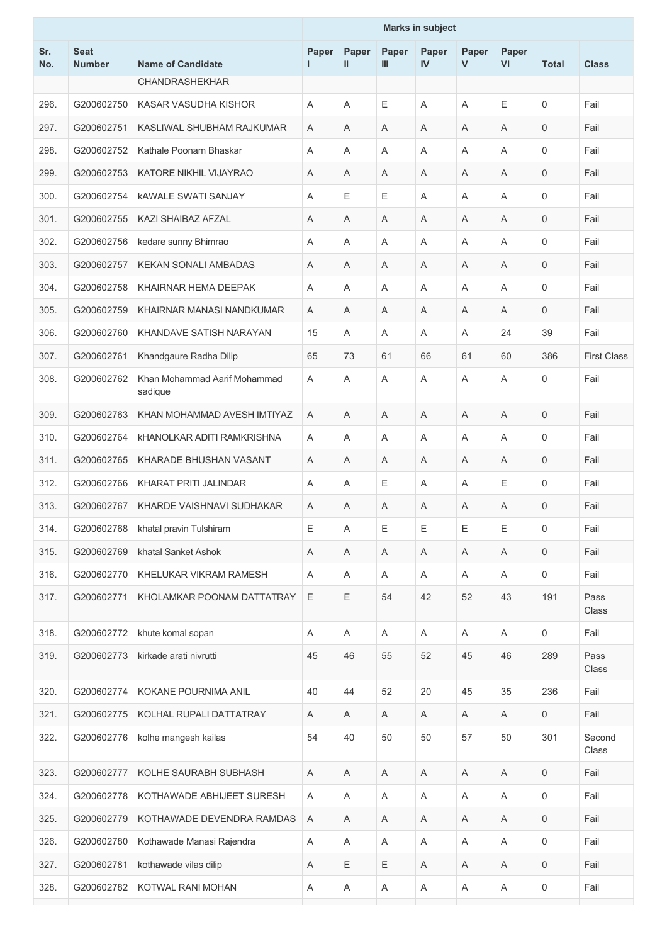|            |                              |                                         | <b>Marks in subject</b> |             |             |              |                       |                |                     |                    |
|------------|------------------------------|-----------------------------------------|-------------------------|-------------|-------------|--------------|-----------------------|----------------|---------------------|--------------------|
| Sr.<br>No. | <b>Seat</b><br><b>Number</b> | <b>Name of Candidate</b>                | Paper<br>н.             | Paper<br>Ш  | Paper<br>Ш  | Paper<br>IV  | Paper<br>$\mathsf{V}$ | Paper<br>VI    | <b>Total</b>        | <b>Class</b>       |
|            |                              | <b>CHANDRASHEKHAR</b>                   |                         |             |             |              |                       |                |                     |                    |
| 296.       | G200602750                   | KASAR VASUDHA KISHOR                    | Α                       | A           | Ε           | A            | Α                     | Ε              | 0                   | Fail               |
| 297.       | G200602751                   | KASLIWAL SHUBHAM RAJKUMAR               | Α                       | Α           | Α           | Α            | Α                     | A              | 0                   | Fail               |
| 298.       | G200602752                   | Kathale Poonam Bhaskar                  | Α                       | A           | Α           | A            | Α                     | A              | $\Omega$            | Fail               |
| 299.       | G200602753                   | KATORE NIKHIL VIJAYRAO                  | A                       | A           | A           | A            | Α                     | A              | 0                   | Fail               |
| 300.       | G200602754                   | <b>KAWALE SWATI SANJAY</b>              | Α                       | Ε           | E           | A            | A                     | A              | 0                   | Fail               |
| 301.       | G200602755                   | KAZI SHAIBAZ AFZAL                      | A                       | A           | A           | A            | A                     | A              | 0                   | Fail               |
| 302.       | G200602756                   | kedare sunny Bhimrao                    | Α                       | Α           | Α           | A            | Α                     | A              | 0                   | Fail               |
| 303.       | G200602757                   | <b>KEKAN SONALI AMBADAS</b>             | Α                       | A           | Α           | A            | Α                     | A              | $\mathbf 0$         | Fail               |
| 304.       | G200602758                   | KHAIRNAR HEMA DEEPAK                    | Α                       | A           | A           | A            | A                     | $\overline{A}$ | 0                   | Fail               |
| 305.       | G200602759                   | KHAIRNAR MANASI NANDKUMAR               | Α                       | A           | Α           | A            | A                     | A              | 0                   | Fail               |
| 306.       | G200602760                   | KHANDAVE SATISH NARAYAN                 | 15                      | A           | A           | A            | Α                     | 24             | 39                  | Fail               |
| 307.       | G200602761                   | Khandgaure Radha Dilip                  | 65                      | 73          | 61          | 66           | 61                    | 60             | 386                 | <b>First Class</b> |
| 308.       | G200602762                   | Khan Mohammad Aarif Mohammad<br>sadique | Α                       | A           | A           | Α            | A                     | Α              | 0                   | Fail               |
| 309.       | G200602763                   | KHAN MOHAMMAD AVESH IMTIYAZ             | A                       | A           | A           | A            | A                     | A              | 0                   | Fail               |
| 310.       | G200602764                   | <b>KHANOLKAR ADITI RAMKRISHNA</b>       | Α                       | Α           | Α           | Α            | Α                     | A              | 0                   | Fail               |
| 311.       | G200602765                   | KHARADE BHUSHAN VASANT                  | Α                       | A           | A           | A            | A                     | A              | $\mathbf 0$         | Fail               |
| 312.       | G200602766                   | KHARAT PRITI JALINDAR                   | Α                       | A           | E           | A            | A                     | Ε              | 0                   | Fail               |
| 313.       | G200602767                   | KHARDE VAISHNAVI SUDHAKAR               | Α                       | A           | Α           | A            | Α                     | A              | 0                   | Fail               |
| 314.       | G200602768                   | khatal pravin Tulshiram                 | Ε                       | A           | E           | Ε            | Ε                     | Ε              | 0                   | Fail               |
| 315.       | G200602769                   | khatal Sanket Ashok                     | Α                       | A           | Α           | Α            | Α                     | Α              | 0                   | Fail               |
| 316.       | G200602770                   | KHELUKAR VIKRAM RAMESH                  | Α                       | A           | Α           | A            | Α                     | A              | $\mathsf{O}\xspace$ | Fail               |
| 317.       | G200602771                   | KHOLAMKAR POONAM DATTATRAY              | E                       | E           | 54          | 42           | 52                    | 43             | 191                 | Pass<br>Class      |
| 318.       | G200602772                   | khute komal sopan                       | A                       | A           | A           | A            | A                     | A              | 0                   | Fail               |
| 319.       | G200602773                   | kirkade arati nivrutti                  | 45                      | 46          | 55          | 52           | 45                    | 46             | 289                 | Pass<br>Class      |
| 320.       | G200602774                   | KOKANE POURNIMA ANIL                    | 40                      | 44          | 52          | 20           | 45                    | 35             | 236                 | Fail               |
| 321.       | G200602775                   | KOLHAL RUPALI DATTATRAY                 | A                       | Α           | Α           | A            | Α                     | A              | 0                   | Fail               |
| 322.       | G200602776                   | kolhe mangesh kailas                    | 54                      | 40          | 50          | 50           | 57                    | 50             | 301                 | Second<br>Class    |
| 323.       | G200602777                   | KOLHE SAURABH SUBHASH                   | A                       | Α           | Α           | Α            | Α                     | Α              | 0                   | Fail               |
| 324.       | G200602778                   | KOTHAWADE ABHIJEET SURESH               | Α                       | Α           | Α           | Α            | Α                     | Α              | 0                   | Fail               |
| 325.       | G200602779                   | KOTHAWADE DEVENDRA RAMDAS               | Α                       | Α           | Α           | Α            | Α                     | $\mathsf A$    | 0                   | Fail               |
| 326.       | G200602780                   | Kothawade Manasi Rajendra               | Α                       | A           | Α           | $\mathsf{A}$ | Α                     | A              | 0                   | Fail               |
| 327.       | G200602781                   | kothawade vilas dilip                   | Α                       | $\mathsf E$ | $\mathsf E$ | Α            | Α                     | Α              | 0                   | Fail               |
| 328.       | G200602782                   | KOTWAL RANI MOHAN                       | Α                       | Α           | Α           | A            | Α                     | A              | 0                   | Fail               |
|            |                              |                                         |                         |             |             |              |                       |                |                     |                    |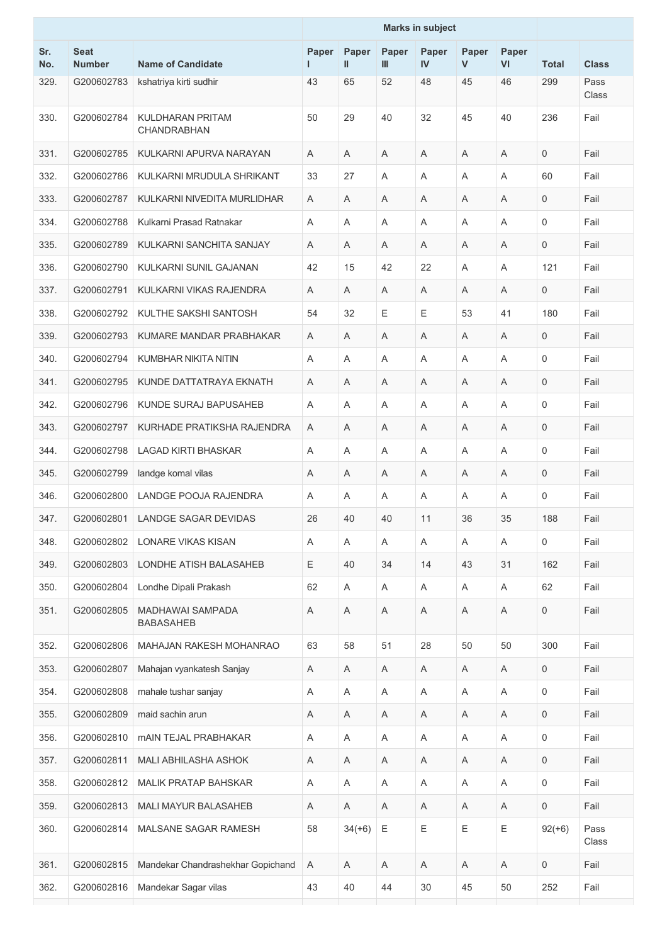|            |                              |                                      | <b>Marks in subject</b> |                           |             |             |             |             |                |               |
|------------|------------------------------|--------------------------------------|-------------------------|---------------------------|-------------|-------------|-------------|-------------|----------------|---------------|
| Sr.<br>No. | <b>Seat</b><br><b>Number</b> | <b>Name of Candidate</b>             | Paper<br>н              | Paper<br>Ш                | Paper<br>Ш  | Paper<br>IV | Paper<br>V  | Paper<br>VI | <b>Total</b>   | <b>Class</b>  |
| 329.       | G200602783                   | kshatriya kirti sudhir               | 43                      | 65                        | 52          | 48          | 45          | 46          | 299            | Pass<br>Class |
| 330.       | G200602784                   | KULDHARAN PRITAM<br>CHANDRABHAN      | 50                      | 29                        | 40          | 32          | 45          | 40          | 236            | Fail          |
| 331.       | G200602785                   | KULKARNI APURVA NARAYAN              | A                       | A                         | A           | A           | A           | A           | $\mathbf{0}$   | Fail          |
| 332.       | G200602786                   | KULKARNI MRUDULA SHRIKANT            | 33                      | 27                        | Α           | Α           | A           | Α           | 60             | Fail          |
| 333.       | G200602787                   | KULKARNI NIVEDITA MURLIDHAR          | Α                       | A                         | Α           | Α           | Α           | Α           | $\mathbf{0}$   | Fail          |
| 334.       | G200602788                   | Kulkarni Prasad Ratnakar             | Α                       | $\overline{A}$            | A           | Α           | A           | A           | $\mathbf 0$    | Fail          |
| 335.       | G200602789                   | KULKARNI SANCHITA SANJAY             | A                       | A                         | Α           | Α           | Α           | A           | $\mathbf 0$    | Fail          |
| 336.       | G200602790                   | KULKARNI SUNIL GAJANAN               | 42                      | 15                        | 42          | 22          | Α           | A           | 121            | Fail          |
| 337.       | G200602791                   | KULKARNI VIKAS RAJENDRA              | Α                       | A                         | Α           | Α           | Α           | Α           | $\mathbf 0$    | Fail          |
| 338.       | G200602792                   | KULTHE SAKSHI SANTOSH                | 54                      | 32                        | Е           | Ε           | 53          | 41          | 180            | Fail          |
| 339.       | G200602793                   | KUMARE MANDAR PRABHAKAR              | Α                       | A                         | Α           | Α           | Α           | Α           | $\mathbf 0$    | Fail          |
| 340.       | G200602794                   | KUMBHAR NIKITA NITIN                 | Α                       | A                         | A           | A           | A           | A           | $\mathbf 0$    | Fail          |
| 341.       | G200602795                   | KUNDE DATTATRAYA EKNATH              | A                       | A                         | A           | A           | A           | A           | $\mathbf 0$    | Fail          |
| 342.       | G200602796                   | KUNDE SURAJ BAPUSAHEB                | Α                       | Α                         | Α           | Α           | A           | Α           | $\mathbf 0$    | Fail          |
| 343.       | G200602797                   | KURHADE PRATIKSHA RAJENDRA           | Α                       | A                         | Α           | Α           | Α           | Α           | $\mathbf{0}$   | Fail          |
| 344.       | G200602798                   | <b>LAGAD KIRTI BHASKAR</b>           | A                       | $\overline{A}$            | A           | Α           | A           | A           | $\mathbf 0$    | Fail          |
| 345.       | G200602799                   | landge komal vilas                   | A                       | A                         | Α           | Α           | Α           | Α           | $\mathbf 0$    | Fail          |
| 346.       | G200602800                   | LANDGE POOJA RAJENDRA                | Α                       | A                         | Α           | Α           | Α           | Α           | $\mathbf 0$    | Fail          |
| 347.       | G200602801                   | LANDGE SAGAR DEVIDAS                 | 26                      | 40                        | 40          | 11          | 36          | 35          | 188            | Fail          |
| 348.       | G200602802                   | <b>LONARE VIKAS KISAN</b>            | Α                       | A                         | A           | A           | A           | A           | $\mathbf 0$    | Fail          |
| 349.       | G200602803                   | LONDHE ATISH BALASAHEB               | Ε                       | 40                        | 34          | 14          | 43          | 31          | 162            | Fail          |
| 350.       | G200602804                   | Londhe Dipali Prakash                | 62                      | Α                         | A           | Α           | A           | Α           | 62             | Fail          |
| 351.       | G200602805                   | MADHAWAI SAMPADA<br><b>BABASAHEB</b> | $\mathsf A$             | $\mathsf A$               | Α           | Α           | Α           | Α           | $\mathbf 0$    | Fail          |
| 352.       | G200602806                   | <b>MAHAJAN RAKESH MOHANRAO</b>       | 63                      | 58                        | 51          | 28          | 50          | 50          | 300            | Fail          |
| 353.       | G200602807                   | Mahajan vyankatesh Sanjay            | A                       | Α                         | Α           | Α           | Α           | Α           | $\mathbf 0$    | Fail          |
| 354.       | G200602808                   | mahale tushar sanjay                 | Α                       | $\boldsymbol{\mathsf{A}}$ | Α           | $\mathsf A$ | Α           | A           | $\mathbf 0$    | Fail          |
| 355.       | G200602809                   | maid sachin arun                     | Α                       | Α                         | A           | Α           | A           | Α           | $\mathbf 0$    | Fail          |
| 356.       | G200602810                   | <b>mAIN TEJAL PRABHAKAR</b>          | Α                       | $\boldsymbol{\mathsf{A}}$ | Α           | $\mathsf A$ | Α           | $\mathsf A$ | $\mathbf 0$    | Fail          |
| 357.       | G200602811                   | MALI ABHILASHA ASHOK                 | Α                       | A                         | Α           | Α           | A           | Α           | $\mathbf 0$    | Fail          |
| 358.       | G200602812                   | <b>MALIK PRATAP BAHSKAR</b>          | Α                       | A                         | Α           | Α           | Α           | $\mathsf A$ | $\mathbf 0$    | Fail          |
| 359.       | G200602813                   | <b>MALI MAYUR BALASAHEB</b>          | $\mathsf A$             | A                         | Α           | A           | Α           | A           | $\overline{0}$ | Fail          |
| 360.       | G200602814                   | MALSANE SAGAR RAMESH                 | 58                      | $34(+6)$                  | $\mathsf E$ | Ε           | $\mathsf E$ | Ε           | $92(+6)$       | Pass<br>Class |
| 361.       | G200602815                   | Mandekar Chandrashekhar Gopichand    | A                       | A                         | Α           | A           | Α           | A           | $\mathbf 0$    | Fail          |
| 362.       | G200602816                   | Mandekar Sagar vilas                 | 43                      | 40                        | 44          | 30          | 45          | 50          | 252            | Fail          |
|            |                              |                                      |                         |                           |             |             |             |             |                |               |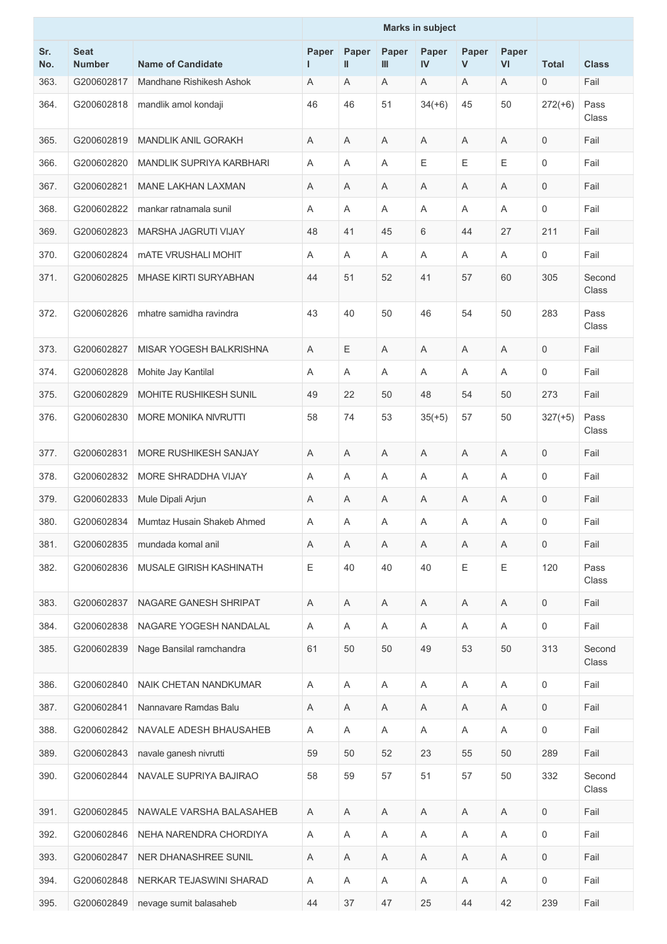|            |                              |                                   | <b>Marks in subject</b> |                           |            |                           |                       |                           |              |                 |
|------------|------------------------------|-----------------------------------|-------------------------|---------------------------|------------|---------------------------|-----------------------|---------------------------|--------------|-----------------|
| Sr.<br>No. | <b>Seat</b><br><b>Number</b> | <b>Name of Candidate</b>          | Paper<br>I.             | Paper<br>Ш                | Paper<br>Ш | Paper<br>IV               | Paper<br>$\mathsf{V}$ | Paper<br>VI               | <b>Total</b> | <b>Class</b>    |
| 363.       | G200602817                   | Mandhane Rishikesh Ashok          | A                       | A                         | Α          | A                         | A                     | A                         | 0            | Fail            |
| 364.       | G200602818                   | mandlik amol kondaji              | 46                      | 46                        | 51         | $34(+6)$                  | 45                    | 50                        | $272(+6)$    | Pass<br>Class   |
| 365.       | G200602819                   | <b>MANDLIK ANIL GORAKH</b>        | Α                       | Α                         | Α          | Α                         | Α                     | Α                         | 0            | Fail            |
| 366.       | G200602820                   | MANDLIK SUPRIYA KARBHARI          | Α                       | A                         | A          | $\mathsf E$               | Е                     | $\mathsf E$               | 0            | Fail            |
| 367.       | G200602821                   | <b>MANE LAKHAN LAXMAN</b>         | Α                       | A                         | Α          | Α                         | Α                     | A                         | 0            | Fail            |
| 368.       | G200602822                   | mankar ratnamala sunil            | Α                       | A                         | A          | Α                         | A                     | A                         | 0            | Fail            |
| 369.       | G200602823                   | MARSHA JAGRUTI VIJAY              | 48                      | 41                        | 45         | 6                         | 44                    | 27                        | 211          | Fail            |
| 370.       | G200602824                   | <b><i>MATE VRUSHALI MOHIT</i></b> | Α                       | A                         | Α          | Α                         | Α                     | Α                         | 0            | Fail            |
| 371.       | G200602825                   | <b>MHASE KIRTI SURYABHAN</b>      | 44                      | 51                        | 52         | 41                        | 57                    | 60                        | 305          | Second<br>Class |
| 372.       | G200602826                   | mhatre samidha ravindra           | 43                      | 40                        | 50         | 46                        | 54                    | 50                        | 283          | Pass<br>Class   |
| 373.       | G200602827                   | MISAR YOGESH BALKRISHNA           | Α                       | Ε                         | A          | Α                         | Α                     | Α                         | 0            | Fail            |
| 374.       | G200602828                   | Mohite Jay Kantilal               | Α                       | A                         | Α          | Α                         | Α                     | Α                         | 0            | Fail            |
| 375.       | G200602829                   | MOHITE RUSHIKESH SUNIL            | 49                      | 22                        | 50         | 48                        | 54                    | 50                        | 273          | Fail            |
| 376.       | G200602830                   | MORE MONIKA NIVRUTTI              | 58                      | 74                        | 53         | $35(+5)$                  | 57                    | 50                        | $327(+5)$    | Pass<br>Class   |
| 377.       | G200602831                   | MORE RUSHIKESH SANJAY             | Α                       | A                         | A          | A                         | A                     | A                         | 0            | Fail            |
| 378.       | G200602832                   | MORE SHRADDHA VIJAY               | Α                       | Α                         | A          | Α                         | Α                     | A                         | 0            | Fail            |
| 379.       | G200602833                   | Mule Dipali Arjun                 | Α                       | A                         | Α          | Α                         | Α                     | Α                         | $\mathbf 0$  | Fail            |
| 380.       | G200602834                   | Mumtaz Husain Shakeb Ahmed        | Α                       | A                         | Α          | Α                         | Α                     | A                         | 0            | Fail            |
| 381.       | G200602835                   | mundada komal anil                | A                       | A                         | A          | A                         | Α                     | A                         | $\mathbf 0$  | Fail            |
| 382.       | G200602836                   | MUSALE GIRISH KASHINATH           | Ε                       | 40                        | 40         | 40                        | E                     | $\mathsf E$               | 120          | Pass<br>Class   |
| 383.       | G200602837                   | NAGARE GANESH SHRIPAT             | Α                       | A                         | A          | Α                         | A                     | A                         | 0            | Fail            |
| 384.       | G200602838                   | NAGARE YOGESH NANDALAL            | Α                       | Α                         | A          | Α                         | A                     | Α                         | 0            | Fail            |
| 385.       | G200602839                   | Nage Bansilal ramchandra          | 61                      | 50                        | 50         | 49                        | 53                    | 50                        | 313          | Second<br>Class |
| 386.       | G200602840                   | NAIK CHETAN NANDKUMAR             | Α                       | A                         | A          | A                         | A                     | A                         | 0            | Fail            |
| 387.       | G200602841                   | Nannavare Ramdas Balu             | Α                       | Α                         | Α          | Α                         | Α                     | Α                         | 0            | Fail            |
| 388.       | G200602842                   | NAVALE ADESH BHAUSAHEB            | Α                       | Α                         | Α          | Α                         | Α                     | Α                         | 0            | Fail            |
| 389.       | G200602843                   | navale ganesh nivrutti            | 59                      | 50                        | 52         | 23                        | 55                    | 50                        | 289          | Fail            |
| 390.       | G200602844                   | NAVALE SUPRIYA BAJIRAO            | 58                      | 59                        | 57         | 51                        | 57                    | 50                        | 332          | Second<br>Class |
| 391.       | G200602845                   | NAWALE VARSHA BALASAHEB           | A                       | A                         | A          | A                         | Α                     | A                         | 0            | Fail            |
| 392.       | G200602846                   | NEHA NARENDRA CHORDIYA            | Α                       | Α                         | Α          | Α                         | Α                     | Α                         | 0            | Fail            |
| 393.       | G200602847                   | NER DHANASHREE SUNIL              | Α                       | $\boldsymbol{\mathsf{A}}$ | A          | $\boldsymbol{\mathsf{A}}$ | A                     | $\boldsymbol{\mathsf{A}}$ | $\mathbf 0$  | Fail            |
| 394.       | G200602848                   | NERKAR TEJASWINI SHARAD           | Α                       | Α                         | Α          | Α                         | Α                     | Α                         | 0            | Fail            |
| 395.       | G200602849                   | nevage sumit balasaheb            | 44                      | 37                        | 47         | 25                        | 44                    | 42                        | 239          | Fail            |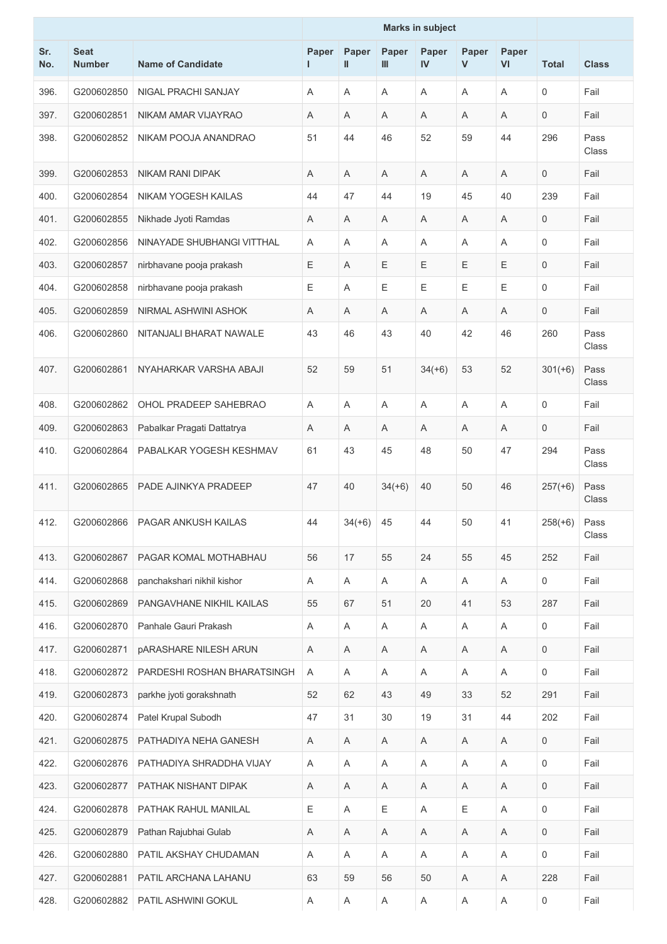| Sr.<br>No. | <b>Seat</b><br><b>Number</b> | <b>Name of Candidate</b>     | Paper<br>I. | Paper<br>$\mathbf{I}$ | Paper<br>Ш | Paper<br>IV | Paper<br>$\mathsf{V}$ | Paper<br>VI | <b>Total</b> | <b>Class</b>  |
|------------|------------------------------|------------------------------|-------------|-----------------------|------------|-------------|-----------------------|-------------|--------------|---------------|
| 396.       | G200602850                   | NIGAL PRACHI SANJAY          | Α           | A                     | A          | A           | Α                     | A           | 0            | Fail          |
| 397.       | G200602851                   | NIKAM AMAR VIJAYRAO          | Α           | A                     | A          | Α           | A                     | A           | 0            | Fail          |
| 398.       | G200602852                   | NIKAM POOJA ANANDRAO         | 51          | 44                    | 46         | 52          | 59                    | 44          | 296          | Pass<br>Class |
| 399.       | G200602853                   | <b>NIKAM RANI DIPAK</b>      | Α           | A                     | Α          | A           | Α                     | A           | 0            | Fail          |
| 400.       | G200602854                   | NIKAM YOGESH KAILAS          | 44          | 47                    | 44         | 19          | 45                    | 40          | 239          | Fail          |
| 401.       | G200602855                   | Nikhade Jyoti Ramdas         | Α           | A                     | A          | Α           | A                     | A           | 0            | Fail          |
| 402.       | G200602856                   | NINAYADE SHUBHANGI VITTHAL   | Α           | Α                     | Α          | A           | Α                     | A           | 0            | Fail          |
| 403.       | G200602857                   | nirbhavane pooja prakash     | Е           | A                     | Ε          | Ε           | Ε                     | Ε           | $\mathbf 0$  | Fail          |
| 404.       | G200602858                   | nirbhavane pooja prakash     | Ε           | A                     | E          | Ε           | E                     | Ε           | 0            | Fail          |
| 405.       | G200602859                   | NIRMAL ASHWINI ASHOK         | Α           | A                     | Α          | Α           | Α                     | A           | 0            | Fail          |
| 406.       | G200602860                   | NITANJALI BHARAT NAWALE      | 43          | 46                    | 43         | 40          | 42                    | 46          | 260          | Pass<br>Class |
| 407.       | G200602861                   | NYAHARKAR VARSHA ABAJI       | 52          | 59                    | 51         | $34(+6)$    | 53                    | 52          | $301(+6)$    | Pass<br>Class |
| 408.       | G200602862                   | OHOL PRADEEP SAHEBRAO        | Α           | A                     | Α          | A           | Α                     | A           | 0            | Fail          |
| 409.       | G200602863                   | Pabalkar Pragati Dattatrya   | Α           | A                     | A          | A           | A                     | A           | 0            | Fail          |
| 410.       | G200602864                   | PABALKAR YOGESH KESHMAV      | 61          | 43                    | 45         | 48          | 50                    | 47          | 294          | Pass<br>Class |
| 411.       | G200602865                   | PADE AJINKYA PRADEEP         | 47          | 40                    | $34(+6)$   | 40          | 50                    | 46          | $257(+6)$    | Pass<br>Class |
| 412.       | G200602866                   | PAGAR ANKUSH KAILAS          | 44          | $34(+6)$              | 45         | 44          | 50                    | 41          | $258(+6)$    | Pass<br>Class |
| 413.       | G200602867                   | PAGAR KOMAL MOTHABHAU        | 56          | 17                    | 55         | 24          | 55                    | 45          | 252          | Fail          |
| 414.       | G200602868                   | panchakshari nikhil kishor   | A           | A                     | Α          | Α           | Α                     | Α           | 0            | Fail          |
| 415.       | G200602869                   | PANGAVHANE NIKHIL KAILAS     | 55          | 67                    | 51         | 20          | 41                    | 53          | 287          | Fail          |
| 416.       | G200602870                   | Panhale Gauri Prakash        | Α           | Α                     | Α          | A           | Α                     | A           | 0            | Fail          |
| 417.       | G200602871                   | <b>pARASHARE NILESH ARUN</b> | A           | Α                     | Α          | Α           | Α                     | Α           | 0            | Fail          |
| 418.       | G200602872                   | PARDESHI ROSHAN BHARATSINGH  | Α           | Α                     | Α          | Α           | Α                     | Α           | 0            | Fail          |
| 419.       | G200602873                   | parkhe jyoti gorakshnath     | 52          | 62                    | 43         | 49          | 33                    | 52          | 291          | Fail          |
| 420.       | G200602874                   | Patel Krupal Subodh          | 47          | 31                    | 30         | 19          | 31                    | 44          | 202          | Fail          |
| 421.       | G200602875                   | PATHADIYA NEHA GANESH        | A           | Α                     | Α          | A           | Α                     | A           | 0            | Fail          |
| 422.       | G200602876                   | PATHADIYA SHRADDHA VIJAY     | Α           | Α                     | A          | A           | A                     | A           | 0            | Fail          |
| 423.       | G200602877                   | PATHAK NISHANT DIPAK         | Α           | A                     | Α          | A           | Α                     | A           | 0            | Fail          |
| 424.       | G200602878                   | PATHAK RAHUL MANILAL         | Ε           | A                     | Ε          | Α           | Ε                     | A           | 0            | Fail          |
| 425.       | G200602879                   | Pathan Rajubhai Gulab        | Α           | A                     | Α          | A           | Α                     | A           | 0            | Fail          |
| 426.       | G200602880                   | PATIL AKSHAY CHUDAMAN        | A           | A                     | Α          | A           | Α                     | A           | 0            | Fail          |
| 427.       | G200602881                   | PATIL ARCHANA LAHANU         | 63          | 59                    | 56         | 50          | Α                     | Α           | 228          | Fail          |
| 428.       | G200602882                   | PATIL ASHWINI GOKUL          | Α           | A                     | A          | A           | Α                     | A           | 0            | Fail          |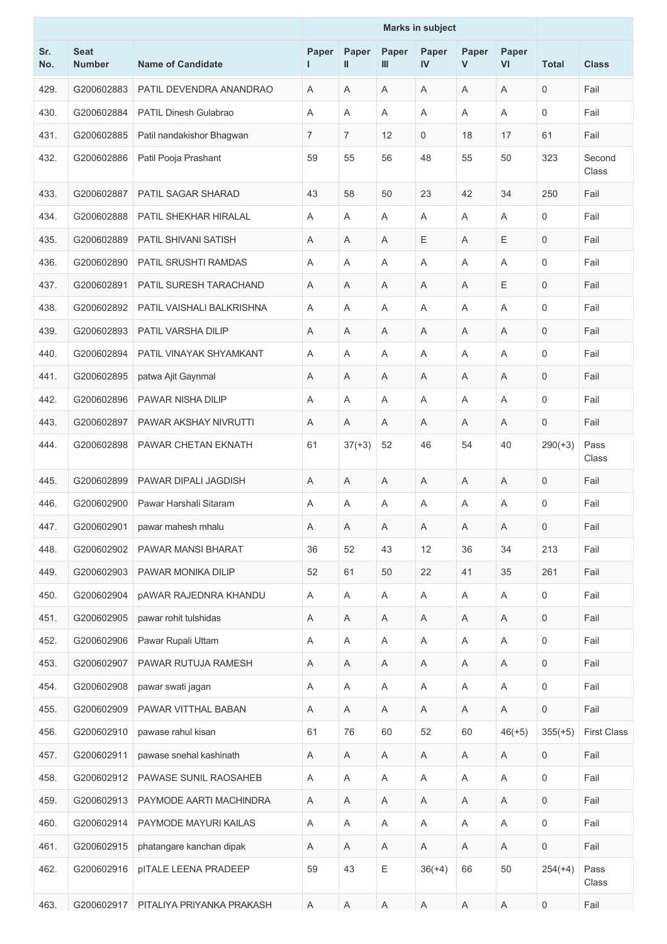|            |                              |                              | <b>Marks in subject</b> |                           |             |                           |             |                           |                     |                    |
|------------|------------------------------|------------------------------|-------------------------|---------------------------|-------------|---------------------------|-------------|---------------------------|---------------------|--------------------|
| Sr.<br>No. | <b>Seat</b><br><b>Number</b> | <b>Name of Candidate</b>     | Paper<br>T.             | Paper<br>Ш                | Paper<br>Ш  | Paper<br>IV               | Paper<br>V  | Paper<br>VI               | <b>Total</b>        | <b>Class</b>       |
| 429.       | G200602883                   | PATIL DEVENDRA ANANDRAO      | Α                       | A                         | A           | A                         | A           | A                         | $\mathbf 0$         | Fail               |
| 430.       | G200602884                   | <b>PATIL Dinesh Gulabrao</b> | Α                       | A                         | A           | A                         | A           | A                         | $\mathbf 0$         | Fail               |
| 431.       | G200602885                   | Patil nandakishor Bhagwan    | $\overline{7}$          | 7                         | 12          | 0                         | 18          | 17                        | 61                  | Fail               |
| 432.       | G200602886                   | Patil Pooja Prashant         | 59                      | 55                        | 56          | 48                        | 55          | 50                        | 323                 | Second<br>Class    |
| 433.       | G200602887                   | <b>PATIL SAGAR SHARAD</b>    | 43                      | 58                        | 50          | 23                        | 42          | 34                        | 250                 | Fail               |
| 434.       | G200602888                   | PATIL SHEKHAR HIRALAL        | Α                       | A                         | Α           | A                         | A           | A                         | $\mathbf 0$         | Fail               |
| 435.       | G200602889                   | PATIL SHIVANI SATISH         | Α                       | A                         | Α           | Ε                         | A           | Ε                         | $\mathbf 0$         | Fail               |
| 436.       | G200602890                   | <b>PATIL SRUSHTI RAMDAS</b>  | Α                       | A                         | A           | Α                         | A           | Α                         | $\mathbf 0$         | Fail               |
| 437.       | G200602891                   | PATIL SURESH TARACHAND       | A                       | A                         | Α           | Α                         | Α           | Ε                         | $\overline{0}$      | Fail               |
| 438.       | G200602892                   | PATIL VAISHALI BALKRISHNA    | Α                       | A                         | A           | Α                         | A           | Α                         | $\mathbf 0$         | Fail               |
| 439.       | G200602893                   | PATIL VARSHA DILIP           | Α                       | A                         | A           | A                         | A           | A                         | $\mathbf 0$         | Fail               |
| 440.       | G200602894                   | PATIL VINAYAK SHYAMKANT      | A                       | $\overline{A}$            | Α           | Α                         | A           | A                         | $\Omega$            | Fail               |
| 441.       | G200602895                   | patwa Ajit Gaynmal           | Α                       | A                         | Α           | Α                         | Α           | Α                         | $\mathbf 0$         | Fail               |
| 442.       | G200602896                   | PAWAR NISHA DILIP            | A                       | A                         | Α           | Α                         | A           | Α                         | $\mathbf 0$         | Fail               |
| 443.       | G200602897                   | PAWAR AKSHAY NIVRUTTI        | Α                       | A                         | A           | Α                         | A           | A                         | $\mathbf 0$         | Fail               |
| 444.       | G200602898                   | <b>PAWAR CHETAN EKNATH</b>   | 61                      | $37(+3)$                  | 52          | 46                        | 54          | 40                        | $290(+3)$           | Pass<br>Class      |
| 445.       | G200602899                   | PAWAR DIPALI JAGDISH         | A                       | A                         | A           | A                         | Α           | Α                         | $\mathbf 0$         | Fail               |
| 446.       | G200602900                   | Pawar Harshali Sitaram       | Α                       | A                         | Α           | Α                         | Α           | Α                         | $\mathbf 0$         | Fail               |
| 447.       | G200602901                   | pawar mahesh mhalu           | Α                       | Α                         | A           | Α                         | A           | Α                         | $\mathbf 0$         | Fail               |
| 448.       | G200602902                   | PAWAR MANSI BHARAT           | 36                      | 52                        | 43          | 12                        | 36          | 34                        | 213                 | Fail               |
| 449.       | G200602903                   | PAWAR MONIKA DILIP           | 52                      | 61                        | 50          | 22                        | 41          | 35                        | 261                 | Fail               |
| 450.       | G200602904                   | <b>pAWAR RAJEDNRA KHANDU</b> | Α                       | $\boldsymbol{\mathsf{A}}$ | Α           | Α                         | Α           | A                         | $\mathbf 0$         | Fail               |
| 451.       | G200602905                   | pawar rohit tulshidas        | Α                       | A                         | A           | Α                         | A           | Α                         | 0                   | Fail               |
| 452.       | G200602906                   | Pawar Rupali Uttam           | Α                       | $\boldsymbol{\mathsf{A}}$ | Α           | Α                         | Α           | A                         | $\mathbf 0$         | Fail               |
| 453.       | G200602907                   | PAWAR RUTUJA RAMESH          | Α                       | A                         | A           | Α                         | A           | Α                         | $\mathbf 0$         | Fail               |
| 454.       | G200602908                   | pawar swati jagan            | Α                       | Α                         | A           | Α                         | Α           | A                         | $\mathbf 0$         | Fail               |
| 455.       | G200602909                   | PAWAR VITTHAL BABAN          | A                       | A                         | Α           | A                         | Α           | A                         | $\mathbf 0$         | Fail               |
| 456.       | G200602910                   | pawase rahul kisan           | 61                      | 76                        | 60          | 52                        | 60          | $46(+5)$                  | $355(+5)$           | <b>First Class</b> |
| 457.       | G200602911                   | pawase snehal kashinath      | Α                       | $\boldsymbol{\mathsf{A}}$ | Α           | Α                         | Α           | A                         | $\mathbf 0$         | Fail               |
| 458.       | G200602912                   | PAWASE SUNIL RAOSAHEB        | Α                       | A                         | A           | A                         | Α           | A                         | $\mathsf{O}\xspace$ | Fail               |
| 459.       | G200602913                   | PAYMODE AARTI MACHINDRA      | Α                       | Α                         | A           | Α                         | A           | Α                         | 0                   | Fail               |
| 460.       | G200602914                   | PAYMODE MAYURI KAILAS        | Α                       | $\boldsymbol{\mathsf{A}}$ | Α           | $\mathsf A$               | Α           | $\mathsf A$               | $\mathbf 0$         | Fail               |
| 461.       | G200602915                   | phatangare kanchan dipak     | A                       | A                         | A           | Α                         | A           | Α                         | $\mathbf 0$         | Fail               |
| 462.       | G200602916                   | <b>pITALE LEENA PRADEEP</b>  | 59                      | 43                        | Ε           | $36(+4)$                  | 66          | 50                        | $254(+4)$           | Pass<br>Class      |
| 463.       | G200602917                   | PITALIYA PRIYANKA PRAKASH    | Α                       | $\boldsymbol{\mathsf{A}}$ | $\mathsf A$ | $\boldsymbol{\mathsf{A}}$ | $\mathsf A$ | $\boldsymbol{\mathsf{A}}$ | $\mathsf{O}\xspace$ | Fail               |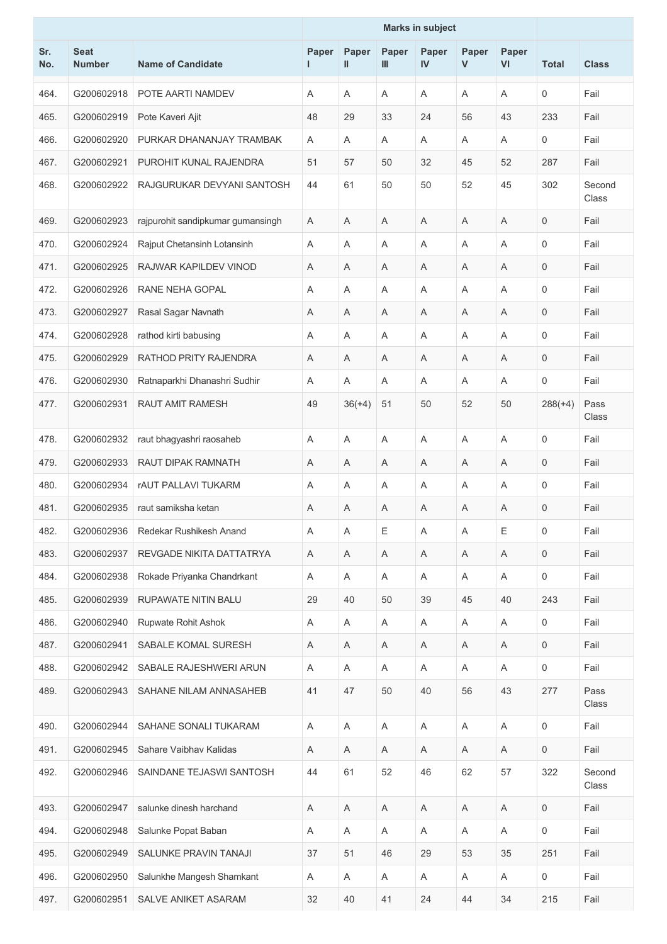| Sr.<br>No. | <b>Seat</b><br><b>Number</b> | <b>Name of Candidate</b>          | Paper<br>L. | Paper<br>$\mathbf{I}$ | Paper<br>Ш | Paper<br>IV               | Paper<br>$\mathsf{V}$ | Paper<br>VI | <b>Total</b> | <b>Class</b>    |
|------------|------------------------------|-----------------------------------|-------------|-----------------------|------------|---------------------------|-----------------------|-------------|--------------|-----------------|
| 464.       | G200602918                   | POTE AARTI NAMDEV                 | A           | A                     | Α          | A                         | Α                     | A           | 0            | Fail            |
| 465.       | G200602919                   | Pote Kaveri Ajit                  | 48          | 29                    | 33         | 24                        | 56                    | 43          | 233          | Fail            |
| 466.       | G200602920                   | PURKAR DHANANJAY TRAMBAK          | Α           | A                     | Α          | A                         | Α                     | A           | 0            | Fail            |
| 467.       | G200602921                   | PUROHIT KUNAL RAJENDRA            | 51          | 57                    | 50         | 32                        | 45                    | 52          | 287          | Fail            |
| 468.       | G200602922                   | RAJGURUKAR DEVYANI SANTOSH        | 44          | 61                    | 50         | 50                        | 52                    | 45          | 302          | Second<br>Class |
| 469.       | G200602923                   | rajpurohit sandipkumar gumansingh | Α           | Α                     | Α          | A                         | Α                     | A           | 0            | Fail            |
| 470.       | G200602924                   | Rajput Chetansinh Lotansinh       | Α           | A                     | Α          | A                         | A                     | A           | 0            | Fail            |
| 471.       | G200602925                   | RAJWAR KAPILDEV VINOD             | Α           | A                     | Α          | A                         | Α                     | A           | 0            | Fail            |
| 472.       | G200602926                   | RANE NEHA GOPAL                   | Α           | Α                     | A          | A                         | A                     | A           | 0            | Fail            |
| 473.       | G200602927                   | Rasal Sagar Navnath               | A           | A                     | A          | A                         | A                     | A           | 0            | Fail            |
| 474.       | G200602928                   | rathod kirti babusing             | Α           | Α                     | Α          | Α                         | Α                     | Α           | 0            | Fail            |
| 475.       | G200602929                   | RATHOD PRITY RAJENDRA             | Α           | A                     | Α          | A                         | Α                     | A           | 0            | Fail            |
| 476.       | G200602930                   | Ratnaparkhi Dhanashri Sudhir      | Α           | A                     | A          | A                         | A                     | A           | 0            | Fail            |
| 477.       | G200602931                   | <b>RAUT AMIT RAMESH</b>           | 49          | $36(+4)$              | 51         | 50                        | 52                    | 50          | $288(+4)$    | Pass<br>Class   |
| 478.       | G200602932                   | raut bhagyashri raosaheb          | Α           | $\overline{A}$        | A          | A                         | A                     | A           | 0            | Fail            |
| 479.       | G200602933                   | RAUT DIPAK RAMNATH                | Α           | A                     | Α          | A                         | Α                     | A           | 0            | Fail            |
| 480.       | G200602934                   | <b>rAUT PALLAVI TUKARM</b>        | Α           | A                     | Α          | A                         | Α                     | A           | 0            | Fail            |
| 481.       | G200602935                   | raut samiksha ketan               | Α           | A                     | A          | A                         | A                     | A           | 0            | Fail            |
| 482.       | G200602936                   | Redekar Rushikesh Anand           | Α           | Α                     | Ε          | Α                         | Α                     | Ε           | 0            | Fail            |
| 483.       | G200602937                   | REVGADE NIKITA DATTATRYA          | Α           | Α                     | Α          | Α                         | Α                     | Α           | $\mathbf 0$  | Fail            |
| 484.       | G200602938                   | Rokade Priyanka Chandrkant        | A           | A                     | Α          | $\boldsymbol{\mathsf{A}}$ | Α                     | A           | 0            | Fail            |
| 485.       | G200602939                   | RUPAWATE NITIN BALU               | 29          | 40                    | 50         | 39                        | 45                    | 40          | 243          | Fail            |
| 486.       | G200602940                   | Rupwate Rohit Ashok               | Α           | A                     | Α          | $\boldsymbol{\mathsf{A}}$ | A                     | A           | 0            | Fail            |
| 487.       | G200602941                   | SABALE KOMAL SURESH               | Α           | Α                     | Α          | Α                         | Α                     | Α           | 0            | Fail            |
| 488.       | G200602942                   | SABALE RAJESHWERI ARUN            | Α           | A                     | Α          | $\boldsymbol{\mathsf{A}}$ | Α                     | A           | 0            | Fail            |
| 489.       | G200602943                   | SAHANE NILAM ANNASAHEB            | 41          | 47                    | 50         | 40                        | 56                    | 43          | 277          | Pass<br>Class   |
| 490.       | G200602944                   | SAHANE SONALI TUKARAM             | Α           | Α                     | Α          | A                         | Α                     | A           | 0            | Fail            |
| 491.       | G200602945                   | Sahare Vaibhav Kalidas            | Α           | $\mathsf A$           | Α          | Α                         | Α                     | A           | 0            | Fail            |
| 492.       | G200602946                   | SAINDANE TEJASWI SANTOSH          | 44          | 61                    | 52         | 46                        | 62                    | 57          | 322          | Second<br>Class |
| 493.       | G200602947                   | salunke dinesh harchand           | Α           | Α                     | Α          | Α                         | Α                     | A           | 0            | Fail            |
| 494.       | G200602948                   | Salunke Popat Baban               | $\mathsf A$ | A                     | Α          | $\boldsymbol{\mathsf{A}}$ | Α                     | A           | 0            | Fail            |
| 495.       | G200602949                   | SALUNKE PRAVIN TANAJI             | 37          | 51                    | 46         | 29                        | 53                    | 35          | 251          | Fail            |
| 496.       | G200602950                   | Salunkhe Mangesh Shamkant         | Α           | Α                     | Α          | Α                         | Α                     | A           | 0            | Fail            |
| 497.       | G200602951                   | SALVE ANIKET ASARAM               | 32          | 40                    | 41         | 24                        | 44                    | 34          | 215          | Fail            |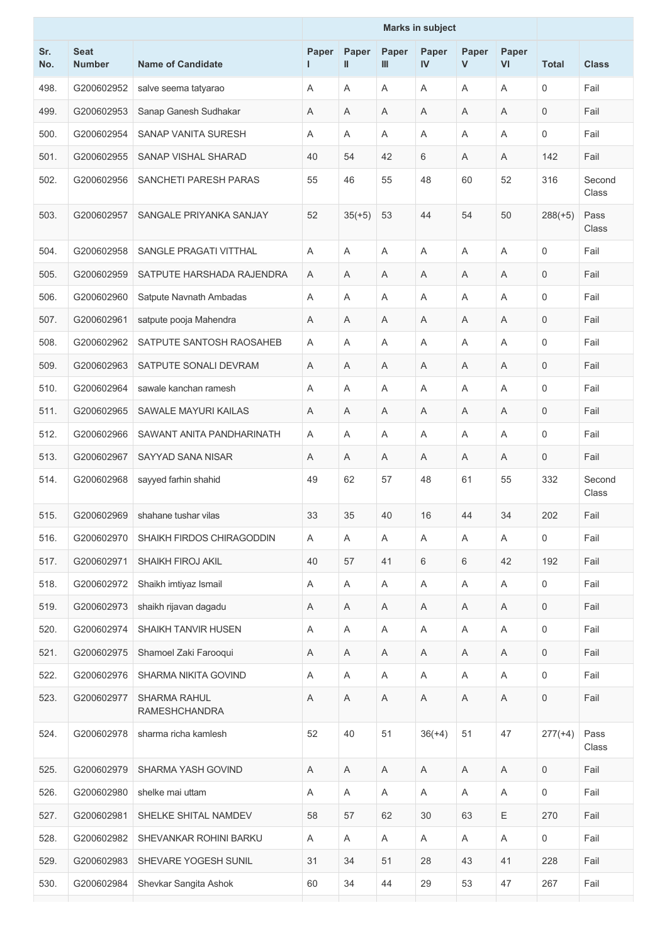|            |                              |                                             | <b>Marks in subject</b> |                           |            |                           |                       |                           |              |                 |
|------------|------------------------------|---------------------------------------------|-------------------------|---------------------------|------------|---------------------------|-----------------------|---------------------------|--------------|-----------------|
| Sr.<br>No. | <b>Seat</b><br><b>Number</b> | <b>Name of Candidate</b>                    | Paper<br>L.             | Paper<br>$\mathbf{I}$     | Paper<br>Ш | Paper<br>IV               | Paper<br>$\mathsf{V}$ | Paper<br>VI               | <b>Total</b> | <b>Class</b>    |
| 498.       | G200602952                   | salve seema tatyarao                        | Α                       | A                         | Α          | A                         | Α                     | A                         | 0            | Fail            |
| 499.       | G200602953                   | Sanap Ganesh Sudhakar                       | Α                       | A                         | Α          | A                         | A                     | A                         | 0            | Fail            |
| 500.       | G200602954                   | SANAP VANITA SURESH                         | Α                       | Α                         | Α          | Α                         | Α                     | Α                         | 0            | Fail            |
| 501.       | G200602955                   | <b>SANAP VISHAL SHARAD</b>                  | 40                      | 54                        | 42         | 6                         | A                     | A                         | 142          | Fail            |
| 502.       | G200602956                   | SANCHETI PARESH PARAS                       | 55                      | 46                        | 55         | 48                        | 60                    | 52                        | 316          | Second<br>Class |
| 503.       | G200602957                   | SANGALE PRIYANKA SANJAY                     | 52                      | $35(+5)$                  | 53         | 44                        | 54                    | 50                        | $288(+5)$    | Pass<br>Class   |
| 504.       | G200602958                   | SANGLE PRAGATI VITTHAL                      | A                       | A                         | A          | A                         | A                     | A                         | 0            | Fail            |
| 505.       | G200602959                   | SATPUTE HARSHADA RAJENDRA                   | Α                       | A                         | A          | A                         | A                     | A                         | 0            | Fail            |
| 506.       | G200602960                   | Satpute Navnath Ambadas                     | Α                       | A                         | Α          | A                         | Α                     | A                         | 0            | Fail            |
| 507.       | G200602961                   | satpute pooja Mahendra                      | Α                       | A                         | Α          | Α                         | Α                     | A                         | 0            | Fail            |
| 508.       | G200602962                   | SATPUTE SANTOSH RAOSAHEB                    | Α                       | Α                         | Α          | Α                         | Α                     | A                         | 0            | Fail            |
| 509.       | G200602963                   | SATPUTE SONALI DEVRAM                       | Α                       | A                         | A          | A                         | A                     | A                         | 0            | Fail            |
| 510.       | G200602964                   | sawale kanchan ramesh                       | Α                       | A                         | Α          | A                         | Α                     | A                         | 0            | Fail            |
| 511.       | G200602965                   | SAWALE MAYURI KAILAS                        | Α                       | A                         | A          | A                         | A                     | A                         | 0            | Fail            |
| 512.       | G200602966                   | SAWANT ANITA PANDHARINATH                   | Α                       | $\overline{A}$            | A          | A                         | A                     | A                         | 0            | Fail            |
| 513.       | G200602967                   | SAYYAD SANA NISAR                           | Α                       | A                         | Α          | A                         | Α                     | A                         | 0            | Fail            |
| 514.       | G200602968                   | sayyed farhin shahid                        | 49                      | 62                        | 57         | 48                        | 61                    | 55                        | 332          | Second<br>Class |
| 515.       | G200602969                   | shahane tushar vilas                        | 33                      | 35                        | 40         | 16                        | 44                    | 34                        | 202          | Fail            |
| 516.       | G200602970                   | SHAIKH FIRDOS CHIRAGODDIN                   | A                       | A                         | Α          | A                         | Α                     | A                         | 0            | Fail            |
| 517.       | G200602971                   | <b>SHAIKH FIROJ AKIL</b>                    | 40                      | 57                        | 41         | 6                         | 6                     | 42                        | 192          | Fail            |
| 518.       | G200602972                   | Shaikh imtiyaz Ismail                       | Α                       | Α                         | Α          | Α                         | Α                     | Α                         | 0            | Fail            |
| 519.       | G200602973                   | shaikh rijavan dagadu                       | Α                       | Α                         | Α          | Α                         | A                     | A                         | $\mathbf 0$  | Fail            |
| 520.       | G200602974                   | SHAIKH TANVIR HUSEN                         | Α                       | A                         | Α          | $\boldsymbol{\mathsf{A}}$ | Α                     | A                         | 0            | Fail            |
| 521.       | G200602975                   | Shamoel Zaki Farooqui                       | Α                       | A                         | Α          | Α                         | Α                     | A                         | 0            | Fail            |
| 522.       | G200602976                   | SHARMA NIKITA GOVIND                        | Α                       | A                         | Α          | $\boldsymbol{\mathsf{A}}$ | Α                     | A                         | 0            | Fail            |
| 523.       | G200602977                   | <b>SHARMA RAHUL</b><br><b>RAMESHCHANDRA</b> | Α                       | A                         | Α          | Α                         | Α                     | Α                         | 0            | Fail            |
| 524.       | G200602978                   | sharma richa kamlesh                        | 52                      | 40                        | 51         | $36(+4)$                  | 51                    | 47                        | $277(+4)$    | Pass<br>Class   |
| 525.       | G200602979                   | SHARMA YASH GOVIND                          | Α                       | $\boldsymbol{\mathsf{A}}$ | Α          | $\mathsf A$               | Α                     | A                         | 0            | Fail            |
| 526.       | G200602980                   | shelke mai uttam                            | Α                       | Α                         | A          | Α                         | Α                     | Α                         | 0            | Fail            |
| 527.       | G200602981                   | SHELKE SHITAL NAMDEV                        | 58                      | 57                        | 62         | 30                        | 63                    | $\mathsf E$               | 270          | Fail            |
| 528.       | G200602982                   | SHEVANKAR ROHINI BARKU                      | Α                       | $\boldsymbol{\mathsf{A}}$ | Α          | $\boldsymbol{\mathsf{A}}$ | Α                     | $\boldsymbol{\mathsf{A}}$ | 0            | Fail            |
| 529.       | G200602983                   | SHEVARE YOGESH SUNIL                        | 31                      | 34                        | 51         | 28                        | 43                    | 41                        | 228          | Fail            |
| 530.       | G200602984                   | Shevkar Sangita Ashok                       | 60                      | 34                        | 44         | 29                        | 53                    | 47                        | 267          | Fail            |
|            |                              |                                             |                         |                           |            |                           |                       |                           |              |                 |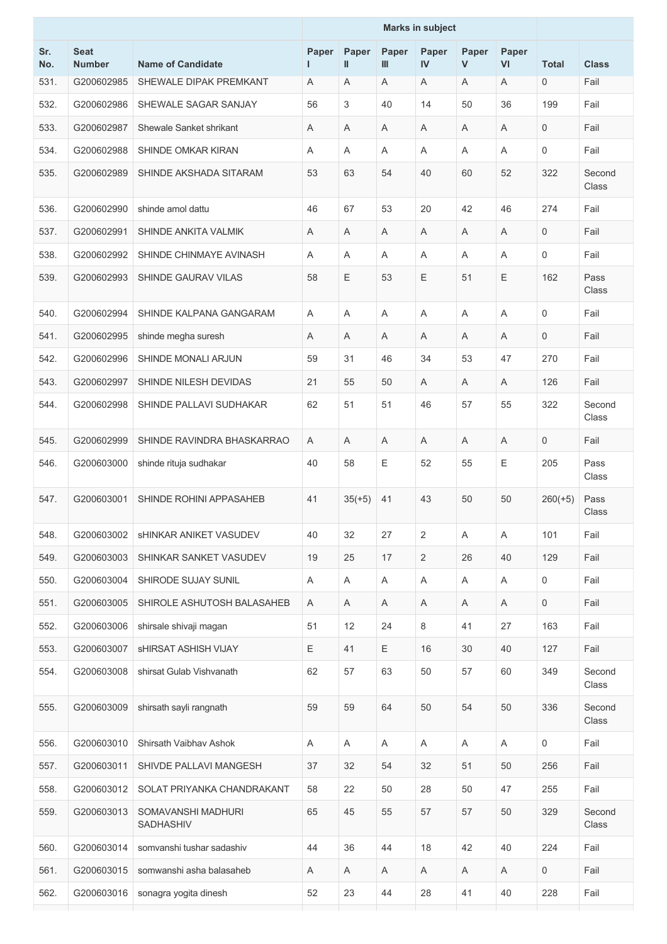|            |                              |                                 |             |            |            | <b>Marks in subject</b>   |                       |             |              |                 |
|------------|------------------------------|---------------------------------|-------------|------------|------------|---------------------------|-----------------------|-------------|--------------|-----------------|
| Sr.<br>No. | <b>Seat</b><br><b>Number</b> | <b>Name of Candidate</b>        | Paper<br>I. | Paper<br>Ш | Paper<br>Ш | Paper<br>IV               | Paper<br>$\mathsf{V}$ | Paper<br>VI | <b>Total</b> | <b>Class</b>    |
| 531.       | G200602985                   | SHEWALE DIPAK PREMKANT          | Α           | A          | Α          | A                         | Α                     | A           | 0            | Fail            |
| 532.       | G200602986                   | SHEWALE SAGAR SANJAY            | 56          | 3          | 40         | 14                        | 50                    | 36          | 199          | Fail            |
| 533.       | G200602987                   | Shewale Sanket shrikant         | Α           | A          | Α          | A                         | Α                     | A           | 0            | Fail            |
| 534.       | G200602988                   | SHINDE OMKAR KIRAN              | Α           | A          | Α          | Α                         | Α                     | Α           | 0            | Fail            |
| 535.       | G200602989                   | SHINDE AKSHADA SITARAM          | 53          | 63         | 54         | 40                        | 60                    | 52          | 322          | Second<br>Class |
| 536.       | G200602990                   | shinde amol dattu               | 46          | 67         | 53         | 20                        | 42                    | 46          | 274          | Fail            |
| 537.       | G200602991                   | SHINDE ANKITA VALMIK            | Α           | A          | A          | A                         | A                     | A           | 0            | Fail            |
| 538.       | G200602992                   | SHINDE CHINMAYE AVINASH         | Α           | A          | Α          | A                         | Α                     | A           | 0            | Fail            |
| 539.       | G200602993                   | <b>SHINDE GAURAV VILAS</b>      | 58          | Ε          | 53         | Ε                         | 51                    | Ε           | 162          | Pass<br>Class   |
| 540.       | G200602994                   | SHINDE KALPANA GANGARAM         | Α           | A          | A          | A                         | A                     | A           | 0            | Fail            |
| 541.       | G200602995                   | shinde megha suresh             | Α           | A          | Α          | A                         | Α                     | A           | 0            | Fail            |
| 542.       | G200602996                   | <b>SHINDE MONALI ARJUN</b>      | 59          | 31         | 46         | 34                        | 53                    | 47          | 270          | Fail            |
| 543.       | G200602997                   | SHINDE NILESH DEVIDAS           | 21          | 55         | 50         | A                         | Α                     | A           | 126          | Fail            |
| 544.       | G200602998                   | SHINDE PALLAVI SUDHAKAR         | 62          | 51         | 51         | 46                        | 57                    | 55          | 322          | Second<br>Class |
| 545.       | G200602999                   | SHINDE RAVINDRA BHASKARRAO      | A           | A          | A          | A                         | A                     | A           | 0            | Fail            |
| 546.       | G200603000                   | shinde rituja sudhakar          | 40          | 58         | E          | 52                        | 55                    | Ε           | 205          | Pass<br>Class   |
| 547.       | G200603001                   | SHINDE ROHINI APPASAHEB         | 41          | $35(+5)$   | 41         | 43                        | 50                    | 50          | $260(+5)$    | Pass<br>Class   |
| 548.       | G200603002                   | <b>SHINKAR ANIKET VASUDEV</b>   | 40          | 32         | 27         | 2                         | Α                     | A           | 101          | Fail            |
| 549.       | G200603003                   | SHINKAR SANKET VASUDEV          | 19          | 25         | 17         | $\sqrt{2}$                | 26                    | 40          | 129          | Fail            |
| 550.       | G200603004                   | SHIRODE SUJAY SUNIL             | Α           | A          | Α          | $\boldsymbol{\mathsf{A}}$ | A                     | A           | $\mathbf 0$  | Fail            |
| 551.       | G200603005                   | SHIROLE ASHUTOSH BALASAHEB      | Α           | Α          | Α          | Α                         | Α                     | $\mathsf A$ | 0            | Fail            |
| 552.       | G200603006                   | shirsale shivaji magan          | 51          | 12         | 24         | 8                         | 41                    | 27          | 163          | Fail            |
| 553.       | G200603007                   | <b>SHIRSAT ASHISH VIJAY</b>     | Ε           | 41         | Ε          | 16                        | 30                    | 40          | 127          | Fail            |
| 554.       | G200603008                   | shirsat Gulab Vishvanath        | 62          | 57         | 63         | 50                        | 57                    | 60          | 349          | Second<br>Class |
| 555.       | G200603009                   | shirsath sayli rangnath         | 59          | 59         | 64         | 50                        | 54                    | 50          | 336          | Second<br>Class |
| 556.       | G200603010                   | Shirsath Vaibhav Ashok          | Α           | A          | Α          | A                         | Α                     | A           | 0            | Fail            |
| 557.       | G200603011                   | SHIVDE PALLAVI MANGESH          | 37          | 32         | 54         | 32                        | 51                    | 50          | 256          | Fail            |
| 558.       | G200603012                   | SOLAT PRIYANKA CHANDRAKANT      | 58          | 22         | 50         | 28                        | 50                    | 47          | 255          | Fail            |
| 559.       | G200603013                   | SOMAVANSHI MADHURI<br>SADHASHIV | 65          | 45         | 55         | 57                        | 57                    | 50          | 329          | Second<br>Class |
| 560.       | G200603014                   | somvanshi tushar sadashiv       | 44          | 36         | 44         | 18                        | 42                    | 40          | 224          | Fail            |
| 561.       | G200603015                   | somwanshi asha balasaheb        | A           | Α          | Α          | Α                         | Α                     | Α           | 0            | Fail            |
| 562.       | G200603016                   | sonagra yogita dinesh           | 52          | 23         | 44         | 28                        | 41                    | 40          | 228          | Fail            |
|            |                              |                                 |             |            |            |                           |                       |             |              |                 |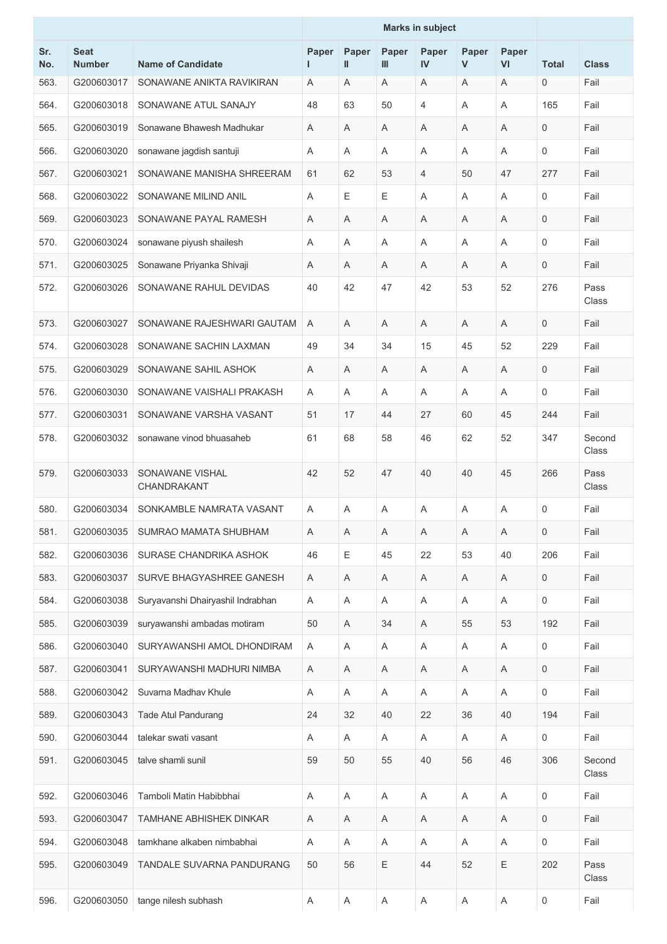|            |                              |                                   |             |            |            | <b>Marks in subject</b> |                       |                           |              |                 |
|------------|------------------------------|-----------------------------------|-------------|------------|------------|-------------------------|-----------------------|---------------------------|--------------|-----------------|
| Sr.<br>No. | <b>Seat</b><br><b>Number</b> | <b>Name of Candidate</b>          | Paper<br>I. | Paper<br>Ш | Paper<br>Ш | Paper<br>IV             | Paper<br>$\mathsf{V}$ | Paper<br>VI               | <b>Total</b> | <b>Class</b>    |
| 563.       | G200603017                   | SONAWANE ANIKTA RAVIKIRAN         | Α           | A          | Α          | A                       | Α                     | A                         | 0            | Fail            |
| 564.       | G200603018                   | SONAWANE ATUL SANAJY              | 48          | 63         | 50         | 4                       | A                     | A                         | 165          | Fail            |
| 565.       | G200603019                   | Sonawane Bhawesh Madhukar         | Α           | A          | A          | A                       | A                     | A                         | $\mathbf 0$  | Fail            |
| 566.       | G200603020                   | sonawane jagdish santuji          | Α           | A          | A          | A                       | A                     | A                         | 0            | Fail            |
| 567.       | G200603021                   | SONAWANE MANISHA SHREERAM         | 61          | 62         | 53         | 4                       | 50                    | 47                        | 277          | Fail            |
| 568.       | G200603022                   | SONAWANE MILIND ANIL              | Α           | E          | Е          | A                       | Α                     | A                         | 0            | Fail            |
| 569.       | G200603023                   | SONAWANE PAYAL RAMESH             | Α           | A          | A          | Α                       | A                     | A                         | 0            | Fail            |
| 570.       | G200603024                   | sonawane piyush shailesh          | Α           | A          | A          | A                       | A                     | A                         | 0            | Fail            |
| 571.       | G200603025                   | Sonawane Priyanka Shivaji         | Α           | A          | A          | A                       | A                     | A                         | 0            | Fail            |
| 572.       | G200603026                   | SONAWANE RAHUL DEVIDAS            | 40          | 42         | 47         | 42                      | 53                    | 52                        | 276          | Pass<br>Class   |
| 573.       | G200603027                   | SONAWANE RAJESHWARI GAUTAM        | A           | A          | A          | A                       | A                     | A                         | 0            | Fail            |
| 574.       | G200603028                   | SONAWANE SACHIN LAXMAN            | 49          | 34         | 34         | 15                      | 45                    | 52                        | 229          | Fail            |
| 575.       | G200603029                   | SONAWANE SAHIL ASHOK              | Α           | A          | A          | A                       | A                     | A                         | 0            | Fail            |
| 576.       | G200603030                   | SONAWANE VAISHALI PRAKASH         | Α           | A          | A          | A                       | A                     | A                         | 0            | Fail            |
| 577.       | G200603031                   | SONAWANE VARSHA VASANT            | 51          | 17         | 44         | 27                      | 60                    | 45                        | 244          | Fail            |
| 578.       | G200603032                   | sonawane vinod bhuasaheb          | 61          | 68         | 58         | 46                      | 62                    | 52                        | 347          | Second<br>Class |
| 579.       | G200603033                   | SONAWANE VISHAL<br>CHANDRAKANT    | 42          | 52         | 47         | 40                      | 40                    | 45                        | 266          | Pass<br>Class   |
| 580.       | G200603034                   | SONKAMBLE NAMRATA VASANT          | A           | A          | Α          | Α                       | Α                     | Α                         | 0            | Fail            |
| 581.       | G200603035                   | SUMRAO MAMATA SHUBHAM             | Α           | Α          | Α          | Α                       | Α                     | Α                         | 0            | Fail            |
| 582.       | G200603036                   | SURASE CHANDRIKA ASHOK            | 46          | E          | 45         | 22                      | 53                    | 40                        | 206          | Fail            |
| 583.       | G200603037                   | SURVE BHAGYASHREE GANESH          | A           | Α          | A          | Α                       | Α                     | Α                         | 0            | Fail            |
| 584.       | G200603038                   | Suryavanshi Dhairyashil Indrabhan | Α           | A          | A          | A                       | A                     | A                         | 0            | Fail            |
| 585.       | G200603039                   | suryawanshi ambadas motiram       | 50          | Α          | 34         | Α                       | 55                    | 53                        | 192          | Fail            |
| 586.       | G200603040                   | SURYAWANSHI AMOL DHONDIRAM        | Α           | A          | Α          | Α                       | Α                     | Α                         | 0            | Fail            |
| 587.       | G200603041                   | SURYAWANSHI MADHURI NIMBA         | Α           | Α          | Α          | Α                       | Α                     | $\boldsymbol{\mathsf{A}}$ | 0            | Fail            |
| 588.       | G200603042                   | Suvarna Madhav Khule              | Α           | A          | A          | Α                       | A                     | Α                         | 0            | Fail            |
| 589.       | G200603043                   | Tade Atul Pandurang               | 24          | 32         | 40         | 22                      | 36                    | 40                        | 194          | Fail            |
| 590.       | G200603044                   | talekar swati vasant              | Α           | Α          | A          | Α                       | A                     | Α                         | 0            | Fail            |
| 591.       | G200603045                   | talve shamli sunil                | 59          | 50         | 55         | 40                      | 56                    | 46                        | 306          | Second<br>Class |
| 592.       | G200603046                   | Tamboli Matin Habibbhai           | Α           | A          | A          | $\mathsf A$             | A                     | A                         | 0            | Fail            |
| 593.       | G200603047                   | TAMHANE ABHISHEK DINKAR           | Α           | Α          | Α          | A                       | Α                     | A                         | 0            | Fail            |
| 594.       | G200603048                   | tamkhane alkaben nimbabhai        | Α           | A          | Α          | Α                       | A                     | Α                         | 0            | Fail            |
| 595.       | G200603049                   | TANDALE SUVARNA PANDURANG         | 50          | 56         | Ε          | 44                      | 52                    | $\mathsf E$               | 202          | Pass<br>Class   |
| 596.       | G200603050                   | tange nilesh subhash              | A           | A          | A          | A                       | A                     | A                         | 0            | Fail            |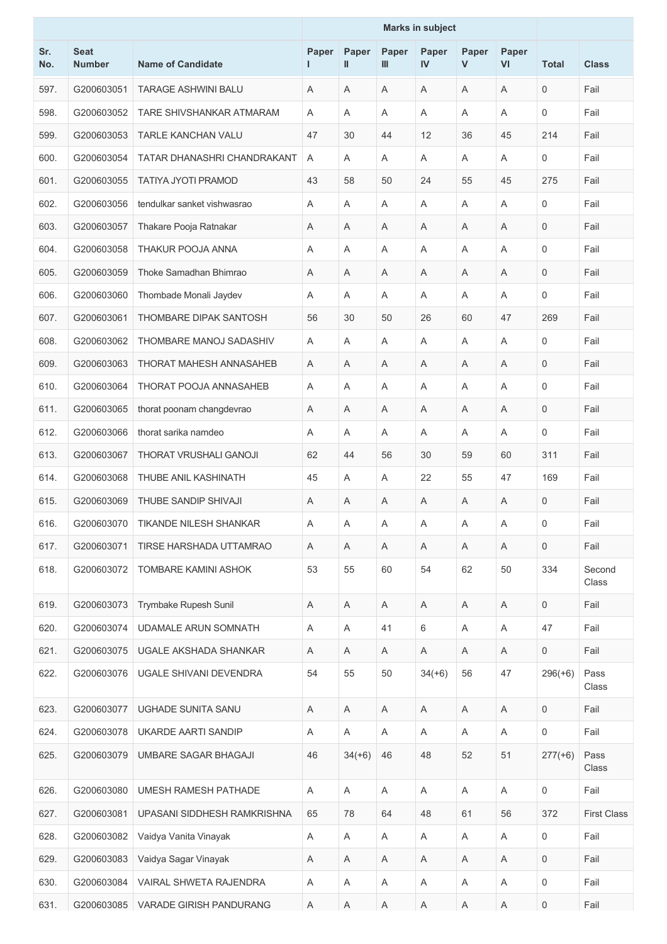|            |                              |                               | <b>Marks in subject</b> |                           |             |                           |                       |                           |              |                    |
|------------|------------------------------|-------------------------------|-------------------------|---------------------------|-------------|---------------------------|-----------------------|---------------------------|--------------|--------------------|
| Sr.<br>No. | <b>Seat</b><br><b>Number</b> | <b>Name of Candidate</b>      | Paper<br>I.             | Paper<br>Ш                | Paper<br>Ш  | Paper<br>IV               | Paper<br>$\mathsf{V}$ | Paper<br>VI               | <b>Total</b> | <b>Class</b>       |
| 597.       | G200603051                   | <b>TARAGE ASHWINI BALU</b>    | Α                       | A                         | Α           | A                         | Α                     | A                         | 0            | Fail               |
| 598.       | G200603052                   | TARE SHIVSHANKAR ATMARAM      | Α                       | A                         | A           | A                         | A                     | A                         | 0            | Fail               |
| 599.       | G200603053                   | <b>TARLE KANCHAN VALU</b>     | 47                      | 30                        | 44          | 12                        | 36                    | 45                        | 214          | Fail               |
| 600.       | G200603054                   | TATAR DHANASHRI CHANDRAKANT   | Α                       | A                         | A           | Α                         | A                     | Α                         | 0            | Fail               |
| 601.       | G200603055                   | TATIYA JYOTI PRAMOD           | 43                      | 58                        | 50          | 24                        | 55                    | 45                        | 275          | Fail               |
| 602.       | G200603056                   | tendulkar sanket vishwasrao   | Α                       | A                         | A           | A                         | A                     | A                         | 0            | Fail               |
| 603.       | G200603057                   | Thakare Pooja Ratnakar        | Α                       | A                         | Α           | Α                         | Α                     | Α                         | 0            | Fail               |
| 604.       | G200603058                   | THAKUR POOJA ANNA             | Α                       | A                         | A           | A                         | A                     | A                         | 0            | Fail               |
| 605.       | G200603059                   | Thoke Samadhan Bhimrao        | Α                       | A                         | A           | Α                         | A                     | Α                         | 0            | Fail               |
| 606.       | G200603060                   | Thombade Monali Jaydev        | Α                       | Α                         | A           | Α                         | A                     | Α                         | 0            | Fail               |
| 607.       | G200603061                   | THOMBARE DIPAK SANTOSH        | 56                      | 30                        | 50          | 26                        | 60                    | 47                        | 269          | Fail               |
| 608.       | G200603062                   | THOMBARE MANOJ SADASHIV       | Α                       | A                         | Α           | A                         | A                     | A                         | 0            | Fail               |
| 609.       | G200603063                   | THORAT MAHESH ANNASAHEB       | Α                       | Α                         | Α           | A                         | Α                     | Α                         | 0            | Fail               |
| 610.       | G200603064                   | THORAT POOJA ANNASAHEB        | Α                       | A                         | A           | A                         | A                     | Α                         | 0            | Fail               |
| 611.       | G200603065                   | thorat poonam changdevrao     | Α                       | A                         | A           | Α                         | A                     | A                         | 0            | Fail               |
| 612.       | G200603066                   | thorat sarika namdeo          | Α                       | A                         | A           | A                         | A                     | A                         | 0            | Fail               |
| 613.       | G200603067                   | THORAT VRUSHALI GANOJI        | 62                      | 44                        | 56          | 30                        | 59                    | 60                        | 311          | Fail               |
| 614.       | G200603068                   | THUBE ANIL KASHINATH          | 45                      | A                         | Α           | 22                        | 55                    | 47                        | 169          | Fail               |
| 615.       | G200603069                   | THUBE SANDIP SHIVAJI          | Α                       | Α                         | Α           | A                         | Α                     | A                         | 0            | Fail               |
| 616.       | G200603070                   | <b>TIKANDE NILESH SHANKAR</b> | A                       | Α                         | A           | A                         | A                     | A                         | 0            | Fail               |
| 617.       | G200603071                   | TIRSE HARSHADA UTTAMRAO       | Α                       | A                         | A           | Α                         | A                     | Α                         | $\mathbf 0$  | Fail               |
| 618.       | G200603072                   | TOMBARE KAMINI ASHOK          | 53                      | 55                        | 60          | 54                        | 62                    | 50                        | 334          | Second<br>Class    |
| 619.       | G200603073                   | Trymbake Rupesh Sunil         | A                       | A                         | A           | Α                         | A                     | Α                         | 0            | Fail               |
| 620.       | G200603074                   | UDAMALE ARUN SOMNATH          | Α                       | A                         | 41          | 6                         | Α                     | A                         | 47           | Fail               |
| 621.       | G200603075                   | UGALE AKSHADA SHANKAR         | A                       | Α                         | A           | Α                         | A                     | Α                         | 0            | Fail               |
| 622.       | G200603076                   | UGALE SHIVANI DEVENDRA        | 54                      | 55                        | 50          | $34(+6)$                  | 56                    | 47                        | $296(+6)$    | Pass<br>Class      |
| 623.       | G200603077                   | UGHADE SUNITA SANU            | A                       | Α                         | Α           | Α                         | Α                     | $\mathsf A$               | 0            | Fail               |
| 624.       | G200603078                   | UKARDE AARTI SANDIP           | Α                       | Α                         | A           | Α                         | A                     | Α                         | 0            | Fail               |
| 625.       | G200603079                   | UMBARE SAGAR BHAGAJI          | 46                      | $34(+6)$                  | 46          | 48                        | 52                    | 51                        | $277(+6)$    | Pass<br>Class      |
| 626.       | G200603080                   | <b>UMESH RAMESH PATHADE</b>   | Α                       | A                         | A           | A                         | A                     | A                         | 0            | Fail               |
| 627.       | G200603081                   | UPASANI SIDDHESH RAMKRISHNA   | 65                      | 78                        | 64          | 48                        | 61                    | 56                        | 372          | <b>First Class</b> |
| 628.       | G200603082                   | Vaidya Vanita Vinayak         | A                       | $\boldsymbol{\mathsf{A}}$ | Α           | A                         | Α                     | A                         | 0            | Fail               |
| 629.       | G200603083                   | Vaidya Sagar Vinayak          | A                       | Α                         | Α           | Α                         | Α                     | Α                         | 0            | Fail               |
| 630.       | G200603084                   | VAIRAL SHWETA RAJENDRA        | Α                       | Α                         | Α           | Α                         | Α                     | Α                         | 0            | Fail               |
| 631.       | G200603085                   | VARADE GIRISH PANDURANG       | Α                       | $\mathsf A$               | $\mathsf A$ | $\boldsymbol{\mathsf{A}}$ | Α                     | $\boldsymbol{\mathsf{A}}$ | 0            | Fail               |